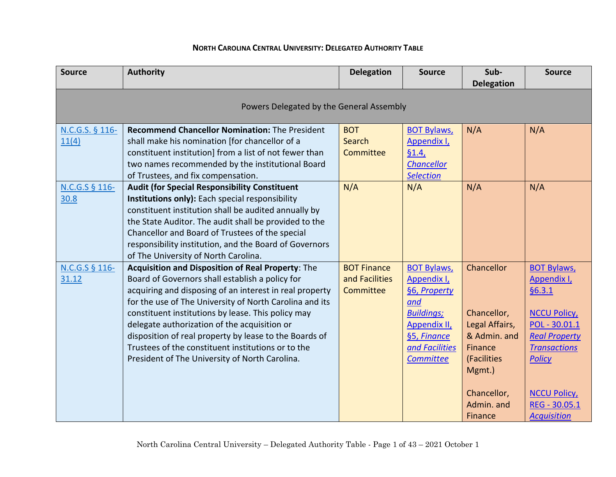## **NORTH CAROLINA CENTRAL UNIVERSITY: DELEGATED AUTHORITY TABLE**

| <b>Source</b>                            | <b>Authority</b>                                                                                                                                                                                                                                                                                                                                                                                                                                                                                   | <b>Delegation</b>                                 | <b>Source</b>                                                                                                                               | Sub-<br><b>Delegation</b>                                                                                                               | <b>Source</b>                                                                                                                                                                                                   |  |
|------------------------------------------|----------------------------------------------------------------------------------------------------------------------------------------------------------------------------------------------------------------------------------------------------------------------------------------------------------------------------------------------------------------------------------------------------------------------------------------------------------------------------------------------------|---------------------------------------------------|---------------------------------------------------------------------------------------------------------------------------------------------|-----------------------------------------------------------------------------------------------------------------------------------------|-----------------------------------------------------------------------------------------------------------------------------------------------------------------------------------------------------------------|--|
| Powers Delegated by the General Assembly |                                                                                                                                                                                                                                                                                                                                                                                                                                                                                                    |                                                   |                                                                                                                                             |                                                                                                                                         |                                                                                                                                                                                                                 |  |
| N.C.G.S. § 116-<br>11(4)                 | <b>Recommend Chancellor Nomination: The President</b><br>shall make his nomination [for chancellor of a<br>constituent institution] from a list of not fewer than<br>two names recommended by the institutional Board<br>of Trustees, and fix compensation.                                                                                                                                                                                                                                        | <b>BOT</b><br><b>Search</b><br>Committee          | <b>BOT Bylaws,</b><br>Appendix I,<br>61.4<br><b>Chancellor</b><br><b>Selection</b>                                                          | N/A                                                                                                                                     | N/A                                                                                                                                                                                                             |  |
| N.C.G.S § 116-<br>30.8                   | <b>Audit (for Special Responsibility Constituent</b><br>Institutions only): Each special responsibility<br>constituent institution shall be audited annually by<br>the State Auditor. The audit shall be provided to the<br>Chancellor and Board of Trustees of the special<br>responsibility institution, and the Board of Governors<br>of The University of North Carolina.                                                                                                                      | N/A                                               | N/A                                                                                                                                         | N/A                                                                                                                                     | N/A                                                                                                                                                                                                             |  |
| N.C.G.S § 116-<br>31.12                  | Acquisition and Disposition of Real Property: The<br>Board of Governors shall establish a policy for<br>acquiring and disposing of an interest in real property<br>for the use of The University of North Carolina and its<br>constituent institutions by lease. This policy may<br>delegate authorization of the acquisition or<br>disposition of real property by lease to the Boards of<br>Trustees of the constituent institutions or to the<br>President of The University of North Carolina. | <b>BOT Finance</b><br>and Facilities<br>Committee | <b>BOT Bylaws,</b><br>Appendix I,<br>§6, Property<br>and<br><b>Buildings;</b><br>Appendix II,<br>§5, Finance<br>and Facilities<br>Committee | Chancellor<br>Chancellor,<br>Legal Affairs,<br>& Admin. and<br>Finance<br>(Facilities<br>Mgmt.)<br>Chancellor,<br>Admin. and<br>Finance | <b>BOT Bylaws,</b><br>Appendix I,<br>66.3.1<br><b>NCCU Policy</b><br>POL - 30.01.1<br><b>Real Property</b><br><b>Transactions</b><br><b>Policy</b><br><b>NCCU Policy</b><br>REG - 30.05.1<br><b>Acquisition</b> |  |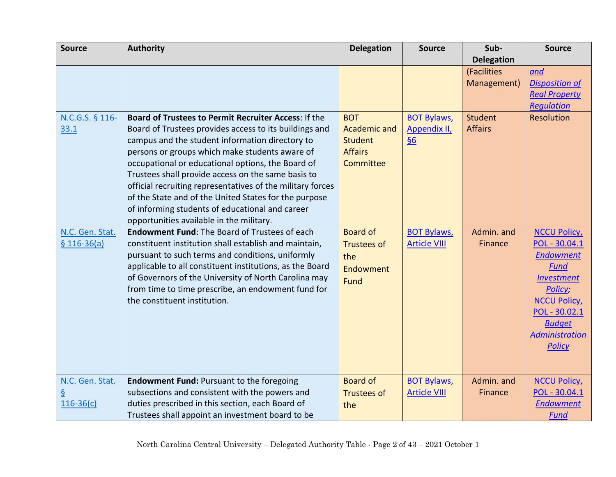| <b>Source</b>                    | <b>Authority</b>                                                                                                                                                                                                                                                                                                                                                                                                                                                                                                                                     | <b>Delegation</b>                                                           | <b>Source</b>                                           | Sub-                             | <b>Source</b>                                                                                                                                                                                            |
|----------------------------------|------------------------------------------------------------------------------------------------------------------------------------------------------------------------------------------------------------------------------------------------------------------------------------------------------------------------------------------------------------------------------------------------------------------------------------------------------------------------------------------------------------------------------------------------------|-----------------------------------------------------------------------------|---------------------------------------------------------|----------------------------------|----------------------------------------------------------------------------------------------------------------------------------------------------------------------------------------------------------|
|                                  |                                                                                                                                                                                                                                                                                                                                                                                                                                                                                                                                                      |                                                                             |                                                         | <b>Delegation</b>                |                                                                                                                                                                                                          |
|                                  |                                                                                                                                                                                                                                                                                                                                                                                                                                                                                                                                                      |                                                                             |                                                         | (Facilities<br>Management)       | and<br><b>Disposition of</b><br><b>Real Property</b><br><b>Requlation</b>                                                                                                                                |
| N.C.G.S. § 116-<br>33.1          | Board of Trustees to Permit Recruiter Access: If the<br>Board of Trustees provides access to its buildings and<br>campus and the student information directory to<br>persons or groups which make students aware of<br>occupational or educational options, the Board of<br>Trustees shall provide access on the same basis to<br>official recruiting representatives of the military forces<br>of the State and of the United States for the purpose<br>of informing students of educational and career<br>opportunities available in the military. | <b>BOT</b><br>Academic and<br><b>Student</b><br><b>Affairs</b><br>Committee | <b>BOT Bylaws,</b><br>Appendix II,<br>$\underline{\S6}$ | <b>Student</b><br><b>Affairs</b> | Resolution                                                                                                                                                                                               |
| N.C. Gen. Stat.<br>$$116-36(a)$  | Endowment Fund: The Board of Trustees of each<br>constituent institution shall establish and maintain,<br>pursuant to such terms and conditions, uniformly<br>applicable to all constituent institutions, as the Board<br>of Governors of the University of North Carolina may<br>from time to time prescribe, an endowment fund for<br>the constituent institution.                                                                                                                                                                                 | <b>Board of</b><br><b>Trustees of</b><br>the<br>Endowment<br>Fund           | <b>BOT Bylaws,</b><br><b>Article VIII</b>               | Admin. and<br>Finance            | <b>NCCU Policy</b><br>POL - 30.04.1<br><b>Endowment</b><br><b>Fund</b><br><b>Investment</b><br>Policy;<br><b>NCCU Policy</b><br>POL - 30.02.1<br><b>Budget</b><br><b>Administration</b><br><b>Policy</b> |
| N.C. Gen. Stat.<br>$116 - 36(c)$ | <b>Endowment Fund: Pursuant to the foregoing</b><br>subsections and consistent with the powers and<br>duties prescribed in this section, each Board of<br>Trustees shall appoint an investment board to be                                                                                                                                                                                                                                                                                                                                           | <b>Board of</b><br><b>Trustees of</b><br>the                                | <b>BOT Bylaws,</b><br><b>Article VIII</b>               | Admin. and<br><b>Finance</b>     | <b>NCCU Policy</b> ,<br>POL - 30.04.1<br><b>Endowment</b><br>Fund                                                                                                                                        |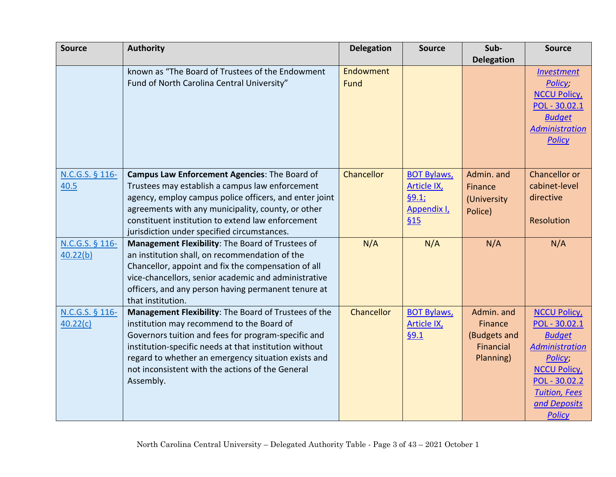| <b>Source</b>   | <b>Authority</b>                                       | <b>Delegation</b> | <b>Source</b>      | Sub-              | <b>Source</b>         |
|-----------------|--------------------------------------------------------|-------------------|--------------------|-------------------|-----------------------|
|                 |                                                        |                   |                    | <b>Delegation</b> |                       |
|                 | known as "The Board of Trustees of the Endowment       | Endowment         |                    |                   | <b>Investment</b>     |
|                 | Fund of North Carolina Central University"             | Fund              |                    |                   | Policy;               |
|                 |                                                        |                   |                    |                   | <b>NCCU Policy</b>    |
|                 |                                                        |                   |                    |                   | POL - 30.02.1         |
|                 |                                                        |                   |                    |                   | <b>Budget</b>         |
|                 |                                                        |                   |                    |                   | <b>Administration</b> |
|                 |                                                        |                   |                    |                   | <b>Policy</b>         |
|                 |                                                        |                   |                    |                   |                       |
|                 |                                                        |                   |                    |                   |                       |
| N.C.G.S. § 116- | Campus Law Enforcement Agencies: The Board of          | Chancellor        | <b>BOT Bylaws,</b> | Admin. and        | Chancellor or         |
| 40.5            | Trustees may establish a campus law enforcement        |                   | <b>Article IX</b>  | Finance           | cabinet-level         |
|                 | agency, employ campus police officers, and enter joint |                   | §9.1;              | (University       | directive             |
|                 | agreements with any municipality, county, or other     |                   | Appendix I,        | Police)           |                       |
|                 | constituent institution to extend law enforcement      |                   | §15                |                   | Resolution            |
|                 | jurisdiction under specified circumstances.            |                   |                    |                   |                       |
| N.C.G.S. § 116- | Management Flexibility: The Board of Trustees of       | N/A               | N/A                | N/A               | N/A                   |
| 40.22(b)        | an institution shall, on recommendation of the         |                   |                    |                   |                       |
|                 | Chancellor, appoint and fix the compensation of all    |                   |                    |                   |                       |
|                 | vice-chancellors, senior academic and administrative   |                   |                    |                   |                       |
|                 | officers, and any person having permanent tenure at    |                   |                    |                   |                       |
|                 | that institution.                                      |                   |                    |                   |                       |
| N.C.G.S. § 116- | Management Flexibility: The Board of Trustees of the   | Chancellor        | <b>BOT Bylaws,</b> | Admin. and        | <b>NCCU Policy</b>    |
| 40.22(c)        | institution may recommend to the Board of              |                   | <b>Article IX</b>  | Finance           | POL - 30.02.1         |
|                 | Governors tuition and fees for program-specific and    |                   | 69.1               | (Budgets and      | <b>Budget</b>         |
|                 | institution-specific needs at that institution without |                   |                    | Financial         | <b>Administration</b> |
|                 | regard to whether an emergency situation exists and    |                   |                    | Planning)         | Policy;               |
|                 | not inconsistent with the actions of the General       |                   |                    |                   | <b>NCCU Policy</b>    |
|                 | Assembly.                                              |                   |                    |                   | POL - 30.02.2         |
|                 |                                                        |                   |                    |                   | <b>Tuition, Fees</b>  |
|                 |                                                        |                   |                    |                   | and Deposits          |
|                 |                                                        |                   |                    |                   | <b>Policy</b>         |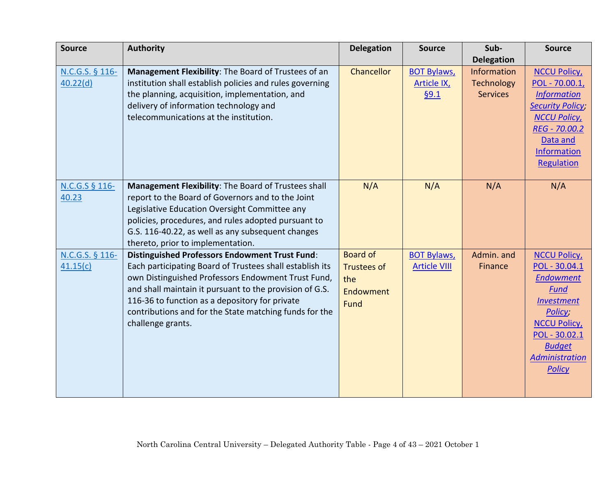| <b>Source</b>               | <b>Authority</b>                                                                                                                                                                                                                                                                                                                                                    | <b>Delegation</b>                                                 | <b>Source</b>                                   | Sub-                                                | <b>Source</b>                                                                                                                                                                                     |
|-----------------------------|---------------------------------------------------------------------------------------------------------------------------------------------------------------------------------------------------------------------------------------------------------------------------------------------------------------------------------------------------------------------|-------------------------------------------------------------------|-------------------------------------------------|-----------------------------------------------------|---------------------------------------------------------------------------------------------------------------------------------------------------------------------------------------------------|
|                             |                                                                                                                                                                                                                                                                                                                                                                     |                                                                   |                                                 | <b>Delegation</b>                                   |                                                                                                                                                                                                   |
| N.C.G.S. § 116-<br>40.22(d) | Management Flexibility: The Board of Trustees of an<br>institution shall establish policies and rules governing<br>the planning, acquisition, implementation, and<br>delivery of information technology and<br>telecommunications at the institution.                                                                                                               | Chancellor                                                        | <b>BOT Bylaws,</b><br><b>Article IX</b><br>69.1 | <b>Information</b><br>Technology<br><b>Services</b> | <b>NCCU Policy</b><br>POL - 70.00.1,<br><b>Information</b><br><b>Security Policy</b><br><b>NCCU Policy</b><br>REG - 70.00.2<br>Data and<br><b>Information</b><br><b>Regulation</b>                |
| N.C.G.S § 116-<br>40.23     | Management Flexibility: The Board of Trustees shall<br>report to the Board of Governors and to the Joint<br>Legislative Education Oversight Committee any<br>policies, procedures, and rules adopted pursuant to<br>G.S. 116-40.22, as well as any subsequent changes<br>thereto, prior to implementation.                                                          | N/A                                                               | N/A                                             | N/A                                                 | N/A                                                                                                                                                                                               |
| N.C.G.S. § 116-<br>41.15(c) | <b>Distinguished Professors Endowment Trust Fund:</b><br>Each participating Board of Trustees shall establish its<br>own Distinguished Professors Endowment Trust Fund,<br>and shall maintain it pursuant to the provision of G.S.<br>116-36 to function as a depository for private<br>contributions and for the State matching funds for the<br>challenge grants. | <b>Board of</b><br><b>Trustees of</b><br>the<br>Endowment<br>Fund | <b>BOT Bylaws,</b><br><b>Article VIII</b>       | Admin. and<br>Finance                               | <b>NCCU Policy</b><br>POL - 30.04.1<br><b>Endowment</b><br>Fund<br><b>Investment</b><br>Policy;<br><b>NCCU Policy</b><br>POL - 30.02.1<br><b>Budget</b><br><b>Administration</b><br><b>Policy</b> |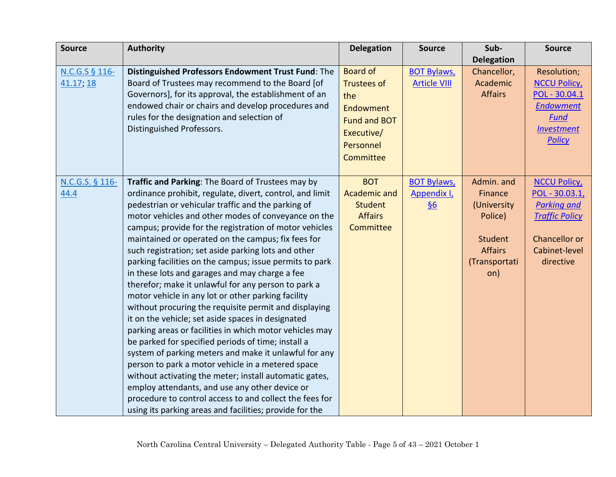| <b>Source</b>   | <b>Authority</b>                                         | <b>Delegation</b>   | <b>Source</b>       | Sub-              | <b>Source</b>         |
|-----------------|----------------------------------------------------------|---------------------|---------------------|-------------------|-----------------------|
|                 |                                                          |                     |                     | <b>Delegation</b> |                       |
| N.C.G.S § 116-  | Distinguished Professors Endowment Trust Fund: The       | <b>Board of</b>     | <b>BOT Bylaws,</b>  | Chancellor,       | Resolution;           |
| 41.17; 18       | Board of Trustees may recommend to the Board [of         | <b>Trustees of</b>  | <b>Article VIII</b> | Academic          | <b>NCCU Policy</b>    |
|                 | Governors], for its approval, the establishment of an    | the                 |                     | <b>Affairs</b>    | POL - 30.04.1         |
|                 | endowed chair or chairs and develop procedures and       | Endowment           |                     |                   | <b>Endowment</b>      |
|                 | rules for the designation and selection of               | <b>Fund and BOT</b> |                     |                   | <b>Fund</b>           |
|                 | Distinguished Professors.                                | Executive/          |                     |                   | <b>Investment</b>     |
|                 |                                                          | Personnel           |                     |                   | <b>Policy</b>         |
|                 |                                                          | Committee           |                     |                   |                       |
|                 |                                                          |                     |                     |                   |                       |
| N.C.G.S. § 116- | Traffic and Parking: The Board of Trustees may by        | <b>BOT</b>          | <b>BOT Bylaws,</b>  | Admin. and        | <b>NCCU Policy</b>    |
| 44.4            | ordinance prohibit, regulate, divert, control, and limit | <b>Academic and</b> | Appendix I,         | Finance           | POL - 30.03.1,        |
|                 | pedestrian or vehicular traffic and the parking of       | <b>Student</b>      | $\underline{\S6}$   | (University       | <b>Parking and</b>    |
|                 | motor vehicles and other modes of conveyance on the      | <b>Affairs</b>      |                     | Police)           | <b>Traffic Policy</b> |
|                 | campus; provide for the registration of motor vehicles   | Committee           |                     |                   |                       |
|                 | maintained or operated on the campus; fix fees for       |                     |                     | <b>Student</b>    | Chancellor or         |
|                 | such registration; set aside parking lots and other      |                     |                     | <b>Affairs</b>    | Cabinet-level         |
|                 | parking facilities on the campus; issue permits to park  |                     |                     | (Transportati     | directive             |
|                 | in these lots and garages and may charge a fee           |                     |                     | on)               |                       |
|                 | therefor; make it unlawful for any person to park a      |                     |                     |                   |                       |
|                 | motor vehicle in any lot or other parking facility       |                     |                     |                   |                       |
|                 | without procuring the requisite permit and displaying    |                     |                     |                   |                       |
|                 | it on the vehicle; set aside spaces in designated        |                     |                     |                   |                       |
|                 | parking areas or facilities in which motor vehicles may  |                     |                     |                   |                       |
|                 | be parked for specified periods of time; install a       |                     |                     |                   |                       |
|                 | system of parking meters and make it unlawful for any    |                     |                     |                   |                       |
|                 | person to park a motor vehicle in a metered space        |                     |                     |                   |                       |
|                 | without activating the meter; install automatic gates,   |                     |                     |                   |                       |
|                 | employ attendants, and use any other device or           |                     |                     |                   |                       |
|                 | procedure to control access to and collect the fees for  |                     |                     |                   |                       |
|                 | using its parking areas and facilities; provide for the  |                     |                     |                   |                       |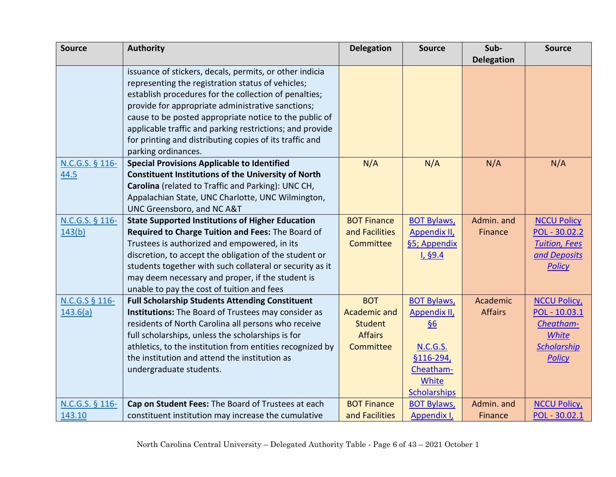| <b>Source</b>   | <b>Authority</b>                                           | <b>Delegation</b>   | <b>Source</b>       | Sub-              | <b>Source</b>        |
|-----------------|------------------------------------------------------------|---------------------|---------------------|-------------------|----------------------|
|                 |                                                            |                     |                     | <b>Delegation</b> |                      |
|                 | issuance of stickers, decals, permits, or other indicia    |                     |                     |                   |                      |
|                 | representing the registration status of vehicles;          |                     |                     |                   |                      |
|                 | establish procedures for the collection of penalties;      |                     |                     |                   |                      |
|                 | provide for appropriate administrative sanctions;          |                     |                     |                   |                      |
|                 | cause to be posted appropriate notice to the public of     |                     |                     |                   |                      |
|                 | applicable traffic and parking restrictions; and provide   |                     |                     |                   |                      |
|                 | for printing and distributing copies of its traffic and    |                     |                     |                   |                      |
|                 | parking ordinances.                                        |                     |                     |                   |                      |
| N.C.G.S. § 116- | <b>Special Provisions Applicable to Identified</b>         | N/A                 | N/A                 | N/A               | N/A                  |
| 44.5            | <b>Constituent Institutions of the University of North</b> |                     |                     |                   |                      |
|                 | Carolina (related to Traffic and Parking): UNC CH,         |                     |                     |                   |                      |
|                 | Appalachian State, UNC Charlotte, UNC Wilmington,          |                     |                     |                   |                      |
|                 | UNC Greensboro, and NC A&T                                 |                     |                     |                   |                      |
| N.C.G.S. § 116- | <b>State Supported Institutions of Higher Education</b>    | <b>BOT Finance</b>  | <b>BOT Bylaws,</b>  | Admin. and        | <b>NCCU Policy</b>   |
| 143(b)          | Required to Charge Tuition and Fees: The Board of          | and Facilities      | <b>Appendix II,</b> | Finance           | POL - 30.02.2        |
|                 | Trustees is authorized and empowered, in its               | Committee           | §5; Appendix        |                   | <b>Tuition, Fees</b> |
|                 | discretion, to accept the obligation of the student or     |                     | I, §9.4             |                   | and Deposits         |
|                 | students together with such collateral or security as it   |                     |                     |                   | <b>Policy</b>        |
|                 | may deem necessary and proper, if the student is           |                     |                     |                   |                      |
|                 | unable to pay the cost of tuition and fees                 |                     |                     |                   |                      |
| N.C.G.S § 116-  | <b>Full Scholarship Students Attending Constituent</b>     | <b>BOT</b>          | <b>BOT Bylaws,</b>  | Academic          | <b>NCCU Policy</b>   |
| 143.6(a)        | Institutions: The Board of Trustees may consider as        | <b>Academic and</b> | Appendix II,        | <b>Affairs</b>    | POL - 10.03.1        |
|                 | residents of North Carolina all persons who receive        | <b>Student</b>      | $\underline{\S6}$   |                   | Cheatham-            |
|                 | full scholarships, unless the scholarships is for          | <b>Affairs</b>      |                     |                   | <b>White</b>         |
|                 | athletics, to the institution from entities recognized by  | Committee           | <b>N.C.G.S.</b>     |                   | <b>Scholarship</b>   |
|                 | the institution and attend the institution as              |                     | §116-294,           |                   | <b>Policy</b>        |
|                 | undergraduate students.                                    |                     | Cheatham-           |                   |                      |
|                 |                                                            |                     | White               |                   |                      |
|                 |                                                            |                     | <b>Scholarships</b> |                   |                      |
| N.C.G.S. § 116- | Cap on Student Fees: The Board of Trustees at each         | <b>BOT Finance</b>  | <b>BOT Bylaws,</b>  | Admin. and        | <b>NCCU Policy</b>   |
| 143.10          | constituent institution may increase the cumulative        | and Facilities      | Appendix I,         | Finance           | POL - 30.02.1        |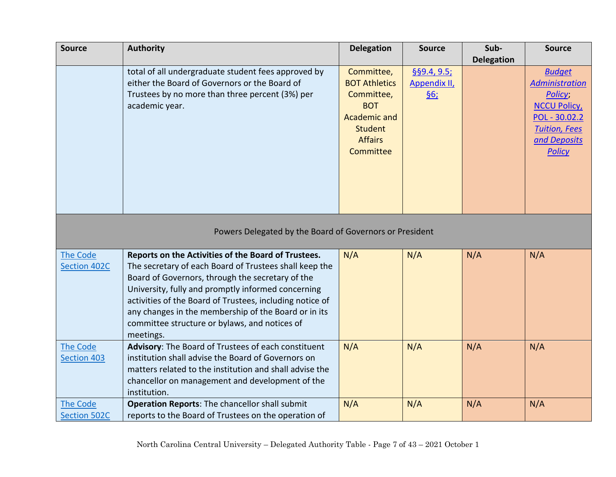| <b>Source</b>       | <b>Authority</b>                                         | <b>Delegation</b>    | <b>Source</b>  | Sub-              | <b>Source</b>         |
|---------------------|----------------------------------------------------------|----------------------|----------------|-------------------|-----------------------|
|                     |                                                          |                      |                | <b>Delegation</b> |                       |
|                     | total of all undergraduate student fees approved by      | Committee,           | $§$ §9.4, 9.5; |                   | <b>Budget</b>         |
|                     | either the Board of Governors or the Board of            | <b>BOT Athletics</b> | Appendix II,   |                   | <b>Administration</b> |
|                     | Trustees by no more than three percent (3%) per          | Committee,           | <u>§6;</u>     |                   | Policy;               |
|                     | academic year.                                           | <b>BOT</b>           |                |                   | <b>NCCU Policy</b>    |
|                     |                                                          | <b>Academic and</b>  |                |                   | POL - 30.02.2         |
|                     |                                                          | <b>Student</b>       |                |                   | <b>Tuition, Fees</b>  |
|                     |                                                          | <b>Affairs</b>       |                |                   | and Deposits          |
|                     |                                                          | Committee            |                |                   | <b>Policy</b>         |
|                     |                                                          |                      |                |                   |                       |
|                     |                                                          |                      |                |                   |                       |
|                     |                                                          |                      |                |                   |                       |
|                     |                                                          |                      |                |                   |                       |
|                     |                                                          |                      |                |                   |                       |
|                     | Powers Delegated by the Board of Governors or President  |                      |                |                   |                       |
|                     |                                                          |                      |                |                   |                       |
| The Code            | Reports on the Activities of the Board of Trustees.      | N/A                  | N/A            | N/A               | N/A                   |
| Section 402C        | The secretary of each Board of Trustees shall keep the   |                      |                |                   |                       |
|                     | Board of Governors, through the secretary of the         |                      |                |                   |                       |
|                     | University, fully and promptly informed concerning       |                      |                |                   |                       |
|                     | activities of the Board of Trustees, including notice of |                      |                |                   |                       |
|                     | any changes in the membership of the Board or in its     |                      |                |                   |                       |
|                     | committee structure or bylaws, and notices of            |                      |                |                   |                       |
|                     | meetings.                                                |                      |                |                   |                       |
| <b>The Code</b>     | Advisory: The Board of Trustees of each constituent      | N/A                  | N/A            | N/A               | N/A                   |
| <b>Section 403</b>  | institution shall advise the Board of Governors on       |                      |                |                   |                       |
|                     | matters related to the institution and shall advise the  |                      |                |                   |                       |
|                     | chancellor on management and development of the          |                      |                |                   |                       |
|                     | institution.                                             |                      |                |                   |                       |
| The Code            | Operation Reports: The chancellor shall submit           | N/A                  | N/A            | N/A               | N/A                   |
| <b>Section 502C</b> | reports to the Board of Trustees on the operation of     |                      |                |                   |                       |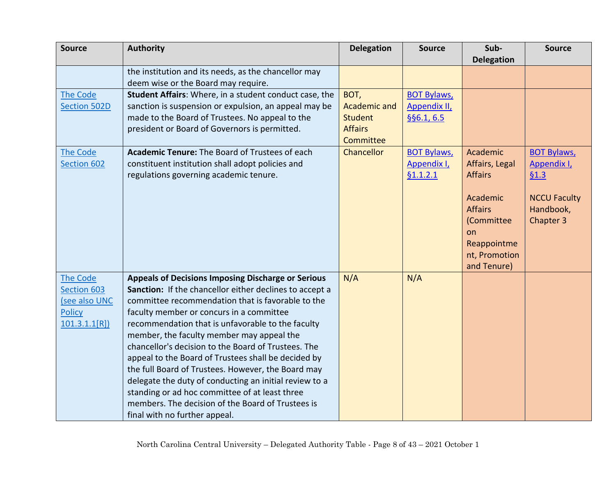| <b>Source</b>   | <b>Authority</b>                                          | <b>Delegation</b> | <b>Source</b>       | Sub-              | <b>Source</b>       |
|-----------------|-----------------------------------------------------------|-------------------|---------------------|-------------------|---------------------|
|                 |                                                           |                   |                     | <b>Delegation</b> |                     |
|                 | the institution and its needs, as the chancellor may      |                   |                     |                   |                     |
|                 | deem wise or the Board may require.                       |                   |                     |                   |                     |
| <b>The Code</b> | Student Affairs: Where, in a student conduct case, the    | BOT,              | <b>BOT Bylaws,</b>  |                   |                     |
| Section 502D    | sanction is suspension or expulsion, an appeal may be     | Academic and      | <b>Appendix II,</b> |                   |                     |
|                 | made to the Board of Trustees. No appeal to the           | <b>Student</b>    | §§6.1, 6.5          |                   |                     |
|                 | president or Board of Governors is permitted.             | <b>Affairs</b>    |                     |                   |                     |
|                 |                                                           | Committee         |                     |                   |                     |
| <b>The Code</b> | <b>Academic Tenure: The Board of Trustees of each</b>     | Chancellor        | <b>BOT Bylaws,</b>  | Academic          | <b>BOT Bylaws,</b>  |
| Section 602     | constituent institution shall adopt policies and          |                   | Appendix I,         | Affairs, Legal    | Appendix I,         |
|                 | regulations governing academic tenure.                    |                   | §1.1.2.1            | <b>Affairs</b>    | 61.3                |
|                 |                                                           |                   |                     |                   |                     |
|                 |                                                           |                   |                     | Academic          | <b>NCCU Faculty</b> |
|                 |                                                           |                   |                     | <b>Affairs</b>    | Handbook,           |
|                 |                                                           |                   |                     | (Committee        | Chapter 3           |
|                 |                                                           |                   |                     | on                |                     |
|                 |                                                           |                   |                     | Reappointme       |                     |
|                 |                                                           |                   |                     | nt, Promotion     |                     |
|                 |                                                           |                   |                     | and Tenure)       |                     |
| <b>The Code</b> | <b>Appeals of Decisions Imposing Discharge or Serious</b> | N/A               | N/A                 |                   |                     |
| Section 603     | Sanction: If the chancellor either declines to accept a   |                   |                     |                   |                     |
| (see also UNC   | committee recommendation that is favorable to the         |                   |                     |                   |                     |
| <b>Policy</b>   | faculty member or concurs in a committee                  |                   |                     |                   |                     |
| 101.3.1.1[R]    | recommendation that is unfavorable to the faculty         |                   |                     |                   |                     |
|                 | member, the faculty member may appeal the                 |                   |                     |                   |                     |
|                 | chancellor's decision to the Board of Trustees. The       |                   |                     |                   |                     |
|                 | appeal to the Board of Trustees shall be decided by       |                   |                     |                   |                     |
|                 | the full Board of Trustees. However, the Board may        |                   |                     |                   |                     |
|                 | delegate the duty of conducting an initial review to a    |                   |                     |                   |                     |
|                 | standing or ad hoc committee of at least three            |                   |                     |                   |                     |
|                 | members. The decision of the Board of Trustees is         |                   |                     |                   |                     |
|                 | final with no further appeal.                             |                   |                     |                   |                     |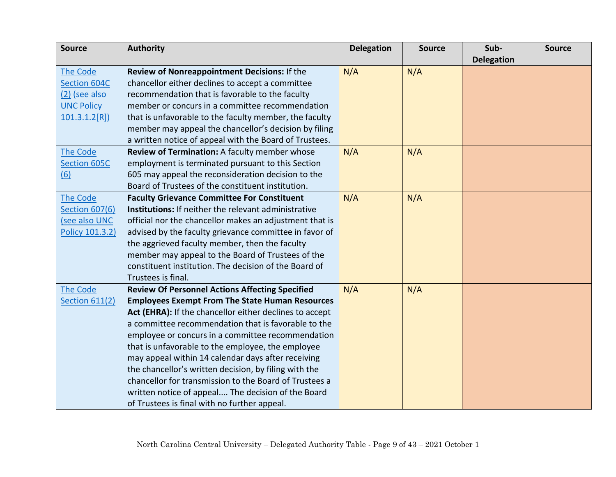| <b>Source</b>         | <b>Authority</b>                                            | <b>Delegation</b> | <b>Source</b> | Sub-              | <b>Source</b> |
|-----------------------|-------------------------------------------------------------|-------------------|---------------|-------------------|---------------|
|                       |                                                             |                   |               | <b>Delegation</b> |               |
| <b>The Code</b>       | Review of Nonreappointment Decisions: If the                | N/A               | N/A           |                   |               |
| <b>Section 604C</b>   | chancellor either declines to accept a committee            |                   |               |                   |               |
| $(2)$ (see also       | recommendation that is favorable to the faculty             |                   |               |                   |               |
| <b>UNC Policy</b>     | member or concurs in a committee recommendation             |                   |               |                   |               |
| 101.3.1.2[R]          | that is unfavorable to the faculty member, the faculty      |                   |               |                   |               |
|                       | member may appeal the chancellor's decision by filing       |                   |               |                   |               |
|                       | a written notice of appeal with the Board of Trustees.      |                   |               |                   |               |
| <b>The Code</b>       | Review of Termination: A faculty member whose               | N/A               | N/A           |                   |               |
| Section 605C          | employment is terminated pursuant to this Section           |                   |               |                   |               |
| (6)                   | 605 may appeal the reconsideration decision to the          |                   |               |                   |               |
|                       | Board of Trustees of the constituent institution.           |                   |               |                   |               |
| <b>The Code</b>       | <b>Faculty Grievance Committee For Constituent</b>          | N/A               | N/A           |                   |               |
| <b>Section 607(6)</b> | <b>Institutions:</b> If neither the relevant administrative |                   |               |                   |               |
| (see also UNC         | official nor the chancellor makes an adjustment that is     |                   |               |                   |               |
| Policy 101.3.2)       | advised by the faculty grievance committee in favor of      |                   |               |                   |               |
|                       | the aggrieved faculty member, then the faculty              |                   |               |                   |               |
|                       | member may appeal to the Board of Trustees of the           |                   |               |                   |               |
|                       | constituent institution. The decision of the Board of       |                   |               |                   |               |
|                       | Trustees is final.                                          |                   |               |                   |               |
| <b>The Code</b>       | <b>Review Of Personnel Actions Affecting Specified</b>      | N/A               | N/A           |                   |               |
| <b>Section 611(2)</b> | <b>Employees Exempt From The State Human Resources</b>      |                   |               |                   |               |
|                       | Act (EHRA): If the chancellor either declines to accept     |                   |               |                   |               |
|                       | a committee recommendation that is favorable to the         |                   |               |                   |               |
|                       | employee or concurs in a committee recommendation           |                   |               |                   |               |
|                       | that is unfavorable to the employee, the employee           |                   |               |                   |               |
|                       | may appeal within 14 calendar days after receiving          |                   |               |                   |               |
|                       | the chancellor's written decision, by filing with the       |                   |               |                   |               |
|                       | chancellor for transmission to the Board of Trustees a      |                   |               |                   |               |
|                       | written notice of appeal The decision of the Board          |                   |               |                   |               |
|                       | of Trustees is final with no further appeal.                |                   |               |                   |               |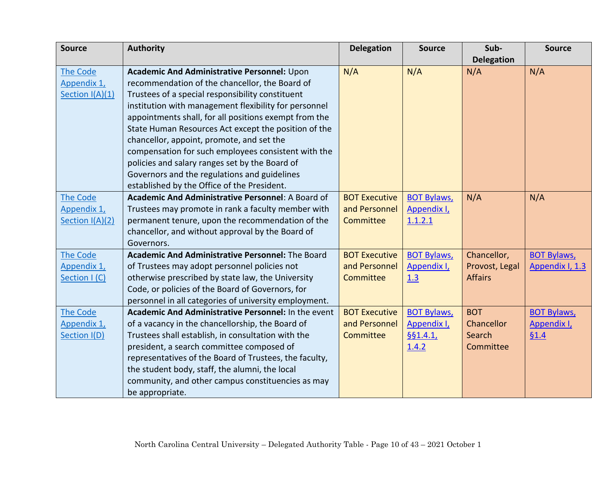| <b>Source</b>   | <b>Authority</b>                                           | <b>Delegation</b>    | <b>Source</b>      | Sub-              | <b>Source</b>      |
|-----------------|------------------------------------------------------------|----------------------|--------------------|-------------------|--------------------|
|                 |                                                            |                      |                    | <b>Delegation</b> |                    |
| The Code        | Academic And Administrative Personnel: Upon                | N/A                  | N/A                | N/A               | N/A                |
| Appendix 1,     | recommendation of the chancellor, the Board of             |                      |                    |                   |                    |
| Section I(A)(1) | Trustees of a special responsibility constituent           |                      |                    |                   |                    |
|                 | institution with management flexibility for personnel      |                      |                    |                   |                    |
|                 | appointments shall, for all positions exempt from the      |                      |                    |                   |                    |
|                 | State Human Resources Act except the position of the       |                      |                    |                   |                    |
|                 | chancellor, appoint, promote, and set the                  |                      |                    |                   |                    |
|                 | compensation for such employees consistent with the        |                      |                    |                   |                    |
|                 | policies and salary ranges set by the Board of             |                      |                    |                   |                    |
|                 | Governors and the regulations and guidelines               |                      |                    |                   |                    |
|                 | established by the Office of the President.                |                      |                    |                   |                    |
| The Code        | <b>Academic And Administrative Personnel: A Board of</b>   | <b>BOT Executive</b> | <b>BOT Bylaws,</b> | N/A               | N/A                |
| Appendix 1,     | Trustees may promote in rank a faculty member with         | and Personnel        | Appendix I,        |                   |                    |
| Section I(A)(2) | permanent tenure, upon the recommendation of the           | Committee            | 1.1.2.1            |                   |                    |
|                 | chancellor, and without approval by the Board of           |                      |                    |                   |                    |
|                 | Governors.                                                 |                      |                    |                   |                    |
| The Code        | <b>Academic And Administrative Personnel: The Board</b>    | <b>BOT Executive</b> | <b>BOT Bylaws,</b> | Chancellor,       | <b>BOT Bylaws,</b> |
| Appendix 1,     | of Trustees may adopt personnel policies not               | and Personnel        | Appendix I,        | Provost, Legal    | Appendix I, 1.3    |
| Section I (C)   | otherwise prescribed by state law, the University          | Committee            | 1.3                | <b>Affairs</b>    |                    |
|                 | Code, or policies of the Board of Governors, for           |                      |                    |                   |                    |
|                 | personnel in all categories of university employment.      |                      |                    |                   |                    |
| <b>The Code</b> | <b>Academic And Administrative Personnel: In the event</b> | <b>BOT Executive</b> | <b>BOT Bylaws,</b> | <b>BOT</b>        | <b>BOT Bylaws,</b> |
| Appendix 1,     | of a vacancy in the chancellorship, the Board of           | and Personnel        | Appendix I,        | Chancellor        | Appendix I,        |
| Section I(D)    | Trustees shall establish, in consultation with the         | Committee            | §§1.4.1,           | Search            | 61.4               |
|                 | president, a search committee composed of                  |                      | 1.4.2              | Committee         |                    |
|                 | representatives of the Board of Trustees, the faculty,     |                      |                    |                   |                    |
|                 | the student body, staff, the alumni, the local             |                      |                    |                   |                    |
|                 | community, and other campus constituencies as may          |                      |                    |                   |                    |
|                 | be appropriate.                                            |                      |                    |                   |                    |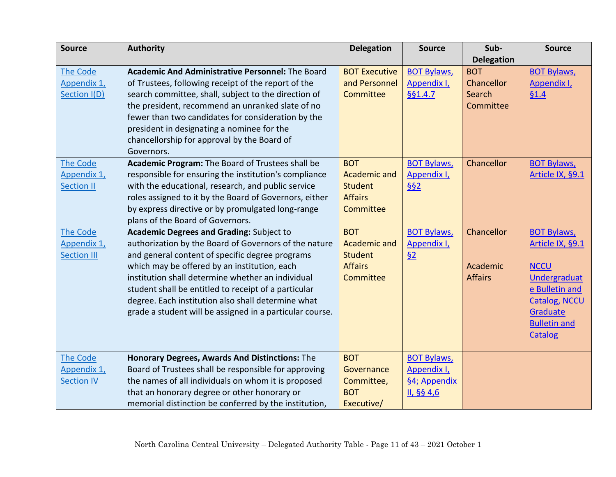| <b>Source</b>      | <b>Authority</b>                                         | <b>Delegation</b>    | <b>Source</b>      | Sub-              | <b>Source</b>        |
|--------------------|----------------------------------------------------------|----------------------|--------------------|-------------------|----------------------|
|                    |                                                          |                      |                    | <b>Delegation</b> |                      |
| <b>The Code</b>    | <b>Academic And Administrative Personnel: The Board</b>  | <b>BOT Executive</b> | <b>BOT Bylaws,</b> | <b>BOT</b>        | <b>BOT Bylaws,</b>   |
| Appendix 1,        | of Trustees, following receipt of the report of the      | and Personnel        | Appendix I,        | Chancellor        | Appendix I,          |
| Section I(D)       | search committee, shall, subject to the direction of     | Committee            | §§1.4.7            | Search            | 61.4                 |
|                    | the president, recommend an unranked slate of no         |                      |                    | Committee         |                      |
|                    | fewer than two candidates for consideration by the       |                      |                    |                   |                      |
|                    | president in designating a nominee for the               |                      |                    |                   |                      |
|                    | chancellorship for approval by the Board of              |                      |                    |                   |                      |
|                    | Governors.                                               |                      |                    |                   |                      |
| <b>The Code</b>    | Academic Program: The Board of Trustees shall be         | <b>BOT</b>           | <b>BOT Bylaws,</b> | Chancellor        | <b>BOT Bylaws,</b>   |
| Appendix 1,        | responsible for ensuring the institution's compliance    | <b>Academic and</b>  | Appendix I,        |                   | Article IX, §9.1     |
| <b>Section II</b>  | with the educational, research, and public service       | <b>Student</b>       | §§2                |                   |                      |
|                    | roles assigned to it by the Board of Governors, either   | <b>Affairs</b>       |                    |                   |                      |
|                    | by express directive or by promulgated long-range        | Committee            |                    |                   |                      |
|                    | plans of the Board of Governors.                         |                      |                    |                   |                      |
| <b>The Code</b>    | <b>Academic Degrees and Grading: Subject to</b>          | <b>BOT</b>           | <b>BOT Bylaws,</b> | Chancellor        | <b>BOT Bylaws,</b>   |
| Appendix 1,        | authorization by the Board of Governors of the nature    | <b>Academic and</b>  | Appendix I,        |                   | Article IX, §9.1     |
| <b>Section III</b> | and general content of specific degree programs          | <b>Student</b>       | 62                 |                   |                      |
|                    | which may be offered by an institution, each             | <b>Affairs</b>       |                    | Academic          | <b>NCCU</b>          |
|                    | institution shall determine whether an individual        | Committee            |                    | <b>Affairs</b>    | Undergraduat         |
|                    | student shall be entitled to receipt of a particular     |                      |                    |                   | e Bulletin and       |
|                    | degree. Each institution also shall determine what       |                      |                    |                   | <b>Catalog, NCCU</b> |
|                    | grade a student will be assigned in a particular course. |                      |                    |                   | Graduate             |
|                    |                                                          |                      |                    |                   | <b>Bulletin and</b>  |
|                    |                                                          |                      |                    |                   | Catalog              |
|                    |                                                          |                      |                    |                   |                      |
| <b>The Code</b>    | Honorary Degrees, Awards And Distinctions: The           | <b>BOT</b>           | <b>BOT Bylaws,</b> |                   |                      |
| Appendix 1,        | Board of Trustees shall be responsible for approving     | Governance           | Appendix I,        |                   |                      |
| <b>Section IV</b>  | the names of all individuals on whom it is proposed      | Committee,           | §4; Appendix       |                   |                      |
|                    | that an honorary degree or other honorary or             | <b>BOT</b>           | II, §§ 4,6         |                   |                      |
|                    | memorial distinction be conferred by the institution,    | Executive/           |                    |                   |                      |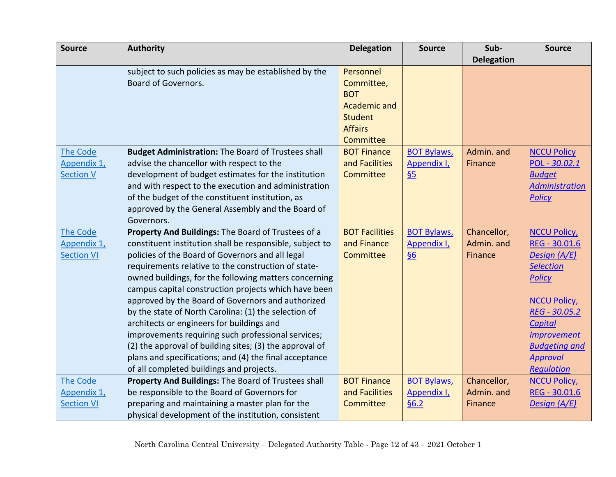| <b>Source</b>     | <b>Authority</b>                                          | <b>Delegation</b>     | <b>Source</b>      | Sub-              | <b>Source</b>         |
|-------------------|-----------------------------------------------------------|-----------------------|--------------------|-------------------|-----------------------|
|                   |                                                           |                       |                    | <b>Delegation</b> |                       |
|                   | subject to such policies as may be established by the     | Personnel             |                    |                   |                       |
|                   | Board of Governors.                                       | Committee,            |                    |                   |                       |
|                   |                                                           | <b>BOT</b>            |                    |                   |                       |
|                   |                                                           | <b>Academic and</b>   |                    |                   |                       |
|                   |                                                           | <b>Student</b>        |                    |                   |                       |
|                   |                                                           | <b>Affairs</b>        |                    |                   |                       |
|                   |                                                           | Committee             |                    |                   |                       |
| The Code          | <b>Budget Administration: The Board of Trustees shall</b> | <b>BOT Finance</b>    | <b>BOT Bylaws,</b> | Admin. and        | <b>NCCU Policy</b>    |
| Appendix 1,       | advise the chancellor with respect to the                 | and Facilities        | Appendix I,        | Finance           | POL - 30.02.1         |
| <b>Section V</b>  | development of budget estimates for the institution       | Committee             | 65                 |                   | <b>Budget</b>         |
|                   | and with respect to the execution and administration      |                       |                    |                   | <b>Administration</b> |
|                   | of the budget of the constituent institution, as          |                       |                    |                   | <b>Policy</b>         |
|                   | approved by the General Assembly and the Board of         |                       |                    |                   |                       |
|                   | Governors.                                                |                       |                    |                   |                       |
| The Code          | Property And Buildings: The Board of Trustees of a        | <b>BOT Facilities</b> | <b>BOT Bylaws,</b> | Chancellor,       | <b>NCCU Policy</b>    |
| Appendix 1,       | constituent institution shall be responsible, subject to  | and Finance           | Appendix I,        | Admin. and        | REG - 30.01.6         |
| <b>Section VI</b> | policies of the Board of Governors and all legal          | Committee             | $\underline{\S6}$  | Finance           | Design (A/E)          |
|                   | requirements relative to the construction of state-       |                       |                    |                   | <b>Selection</b>      |
|                   | owned buildings, for the following matters concerning     |                       |                    |                   | <b>Policy</b>         |
|                   | campus capital construction projects which have been      |                       |                    |                   |                       |
|                   | approved by the Board of Governors and authorized         |                       |                    |                   | <b>NCCU Policy</b>    |
|                   | by the state of North Carolina: (1) the selection of      |                       |                    |                   | REG - 30.05.2         |
|                   | architects or engineers for buildings and                 |                       |                    |                   | <b>Capital</b>        |
|                   | improvements requiring such professional services;        |                       |                    |                   | <b>Improvement</b>    |
|                   | (2) the approval of building sites; (3) the approval of   |                       |                    |                   | <b>Budgeting and</b>  |
|                   | plans and specifications; and (4) the final acceptance    |                       |                    |                   | <b>Approval</b>       |
|                   | of all completed buildings and projects.                  |                       |                    |                   | <b>Regulation</b>     |
| The Code          | Property And Buildings: The Board of Trustees shall       | <b>BOT Finance</b>    | <b>BOT Bylaws,</b> | Chancellor,       | <b>NCCU Policy</b>    |
| Appendix 1,       | be responsible to the Board of Governors for              | and Facilities        | Appendix I,        | Admin. and        | REG - 30.01.6         |
| <b>Section VI</b> | preparing and maintaining a master plan for the           | Committee             | §6.2               | Finance           | Design (A/E)          |
|                   | physical development of the institution, consistent       |                       |                    |                   |                       |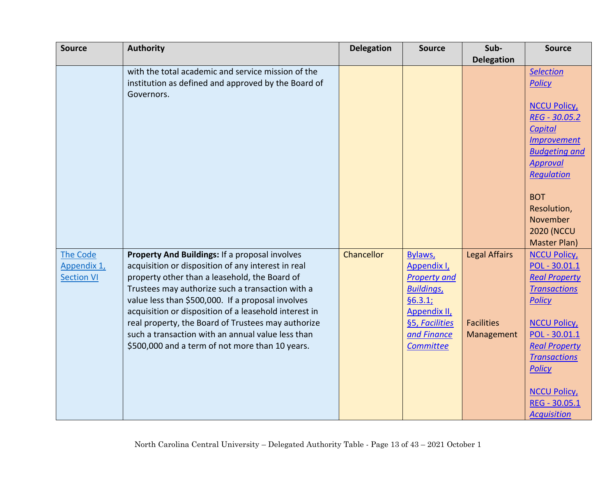| <b>Source</b>                                | <b>Authority</b>                                                                                                                                                                                                                                                                                                                                                                                                                                                                      | <b>Delegation</b> | <b>Source</b>                                                                                                                                              | Sub-                                                    | <b>Source</b>                                                                                                                                                                                                                                                            |
|----------------------------------------------|---------------------------------------------------------------------------------------------------------------------------------------------------------------------------------------------------------------------------------------------------------------------------------------------------------------------------------------------------------------------------------------------------------------------------------------------------------------------------------------|-------------------|------------------------------------------------------------------------------------------------------------------------------------------------------------|---------------------------------------------------------|--------------------------------------------------------------------------------------------------------------------------------------------------------------------------------------------------------------------------------------------------------------------------|
|                                              |                                                                                                                                                                                                                                                                                                                                                                                                                                                                                       |                   |                                                                                                                                                            | <b>Delegation</b>                                       |                                                                                                                                                                                                                                                                          |
|                                              | with the total academic and service mission of the<br>institution as defined and approved by the Board of<br>Governors.                                                                                                                                                                                                                                                                                                                                                               |                   |                                                                                                                                                            |                                                         | <b>Selection</b><br><b>Policy</b><br><b>NCCU Policy</b><br>REG - 30.05.2<br><b>Capital</b><br><b>Improvement</b><br><b>Budgeting and</b><br><b>Approval</b><br><b>Regulation</b><br><b>BOT</b><br>Resolution,<br>November<br><b>2020 (NCCU</b><br><b>Master Plan)</b>    |
| The Code<br>Appendix 1,<br><b>Section VI</b> | Property And Buildings: If a proposal involves<br>acquisition or disposition of any interest in real<br>property other than a leasehold, the Board of<br>Trustees may authorize such a transaction with a<br>value less than \$500,000. If a proposal involves<br>acquisition or disposition of a leasehold interest in<br>real property, the Board of Trustees may authorize<br>such a transaction with an annual value less than<br>\$500,000 and a term of not more than 10 years. | Chancellor        | Bylaws,<br>Appendix I,<br><b>Property and</b><br><b>Buildings</b> ,<br>§6.3.1;<br><b>Appendix II,</b><br>§5, Facilities<br>and Finance<br><b>Committee</b> | <b>Legal Affairs</b><br><b>Facilities</b><br>Management | <b>NCCU Policy,</b><br>POL - 30.01.1<br><b>Real Property</b><br><b>Transactions</b><br><b>Policy</b><br><b>NCCU Policy</b><br>POL - 30.01.1<br><b>Real Property</b><br><b>Transactions</b><br><b>Policy</b><br><b>NCCU Policy</b><br>REG - 30.05.1<br><b>Acquisition</b> |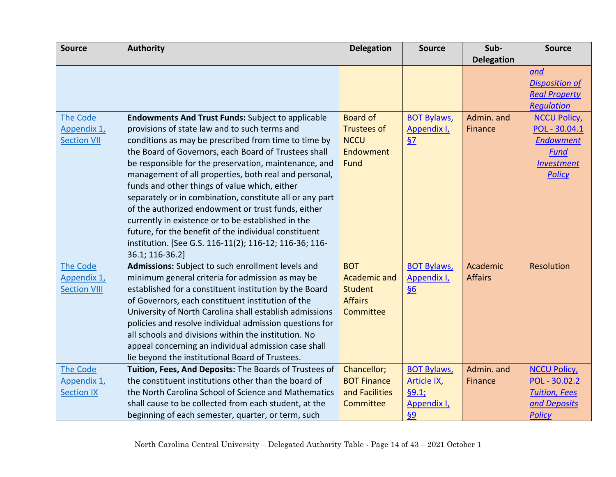| <b>Source</b>                                        | <b>Authority</b>                                                                                                                                                                                                                                                                                                                                                                                                                                                                                                                                                                                                                                                                                           | <b>Delegation</b>                                                                  | <b>Source</b>                                                         | Sub-                       | <b>Source</b>                                                                                         |
|------------------------------------------------------|------------------------------------------------------------------------------------------------------------------------------------------------------------------------------------------------------------------------------------------------------------------------------------------------------------------------------------------------------------------------------------------------------------------------------------------------------------------------------------------------------------------------------------------------------------------------------------------------------------------------------------------------------------------------------------------------------------|------------------------------------------------------------------------------------|-----------------------------------------------------------------------|----------------------------|-------------------------------------------------------------------------------------------------------|
|                                                      |                                                                                                                                                                                                                                                                                                                                                                                                                                                                                                                                                                                                                                                                                                            |                                                                                    |                                                                       | <b>Delegation</b>          |                                                                                                       |
|                                                      |                                                                                                                                                                                                                                                                                                                                                                                                                                                                                                                                                                                                                                                                                                            |                                                                                    |                                                                       |                            | and<br><b>Disposition of</b><br><b>Real Property</b><br><b>Requlation</b>                             |
| <b>The Code</b><br>Appendix 1,<br><b>Section VII</b> | <b>Endowments And Trust Funds: Subject to applicable</b><br>provisions of state law and to such terms and<br>conditions as may be prescribed from time to time by<br>the Board of Governors, each Board of Trustees shall<br>be responsible for the preservation, maintenance, and<br>management of all properties, both real and personal,<br>funds and other things of value which, either<br>separately or in combination, constitute all or any part<br>of the authorized endowment or trust funds, either<br>currently in existence or to be established in the<br>future, for the benefit of the individual constituent<br>institution. [See G.S. 116-11(2); 116-12; 116-36; 116-<br>36.1; 116-36.2] | <b>Board of</b><br><b>Trustees of</b><br><b>NCCU</b><br>Endowment<br>Fund          | <b>BOT Bylaws,</b><br>Appendix I,<br>57                               | Admin. and<br>Finance      | <b>NCCU Policy</b><br>POL - 30.04.1<br><b>Endowment</b><br>Fund<br><b>Investment</b><br><b>Policy</b> |
| The Code<br>Appendix 1,<br><b>Section VIII</b>       | Admissions: Subject to such enrollment levels and<br>minimum general criteria for admission as may be<br>established for a constituent institution by the Board<br>of Governors, each constituent institution of the<br>University of North Carolina shall establish admissions<br>policies and resolve individual admission questions for<br>all schools and divisions within the institution. No<br>appeal concerning an individual admission case shall<br>lie beyond the institutional Board of Trustees.                                                                                                                                                                                              | <b>BOT</b><br><b>Academic and</b><br><b>Student</b><br><b>Affairs</b><br>Committee | <b>BOT Bylaws,</b><br>Appendix I,<br>$\underline{\S6}$                | Academic<br><b>Affairs</b> | Resolution                                                                                            |
| <b>The Code</b><br>Appendix 1,<br><b>Section IX</b>  | Tuition, Fees, And Deposits: The Boards of Trustees of<br>the constituent institutions other than the board of<br>the North Carolina School of Science and Mathematics<br>shall cause to be collected from each student, at the<br>beginning of each semester, quarter, or term, such                                                                                                                                                                                                                                                                                                                                                                                                                      | Chancellor;<br><b>BOT Finance</b><br>and Facilities<br><b>Committee</b>            | <b>BOT Bylaws,</b><br><b>Article IX</b><br>§9.1;<br>Appendix I,<br>69 | Admin. and<br>Finance      | <b>NCCU Policy</b><br>POL - 30.02.2<br><b>Tuition, Fees</b><br>and Deposits<br><b>Policy</b>          |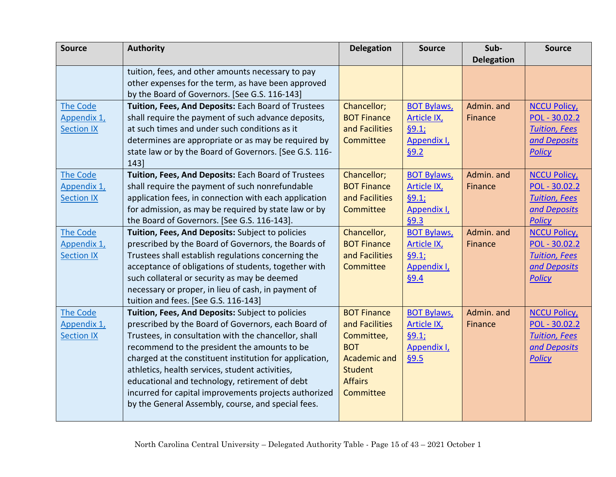| <b>Source</b>     | <b>Authority</b>                                        | <b>Delegation</b>   | <b>Source</b>      | Sub-              | <b>Source</b>        |
|-------------------|---------------------------------------------------------|---------------------|--------------------|-------------------|----------------------|
|                   |                                                         |                     |                    | <b>Delegation</b> |                      |
|                   | tuition, fees, and other amounts necessary to pay       |                     |                    |                   |                      |
|                   | other expenses for the term, as have been approved      |                     |                    |                   |                      |
|                   | by the Board of Governors. [See G.S. 116-143]           |                     |                    |                   |                      |
| <b>The Code</b>   | Tuition, Fees, And Deposits: Each Board of Trustees     | Chancellor;         | <b>BOT Bylaws,</b> | Admin. and        | <b>NCCU Policy</b>   |
| Appendix 1,       | shall require the payment of such advance deposits,     | <b>BOT Finance</b>  | <b>Article IX</b>  | Finance           | POL - 30.02.2        |
| <b>Section IX</b> | at such times and under such conditions as it           | and Facilities      | §9.1;              |                   | <b>Tuition, Fees</b> |
|                   | determines are appropriate or as may be required by     | Committee           | Appendix I,        |                   | and Deposits         |
|                   | state law or by the Board of Governors. [See G.S. 116-  |                     | §9.2               |                   | <b>Policy</b>        |
|                   | 143                                                     |                     |                    |                   |                      |
| <b>The Code</b>   | Tuition, Fees, And Deposits: Each Board of Trustees     | Chancellor;         | <b>BOT Bylaws,</b> | Admin. and        | <b>NCCU Policy</b>   |
| Appendix 1,       | shall require the payment of such nonrefundable         | <b>BOT Finance</b>  | Article IX,        | Finance           | POL - 30.02.2        |
| <b>Section IX</b> | application fees, in connection with each application   | and Facilities      | §9.1;              |                   | <b>Tuition, Fees</b> |
|                   | for admission, as may be required by state law or by    | Committee           | Appendix I,        |                   | and Deposits         |
|                   | the Board of Governors. [See G.S. 116-143].             |                     | §9.3               |                   | <b>Policy</b>        |
| <b>The Code</b>   | Tuition, Fees, And Deposits: Subject to policies        | Chancellor,         | <b>BOT Bylaws,</b> | Admin. and        | <b>NCCU Policy</b>   |
| Appendix 1,       | prescribed by the Board of Governors, the Boards of     | <b>BOT Finance</b>  | <b>Article IX</b>  | Finance           | POL - 30.02.2        |
| <b>Section IX</b> | Trustees shall establish regulations concerning the     | and Facilities      | §9.1;              |                   | <b>Tuition, Fees</b> |
|                   | acceptance of obligations of students, together with    | Committee           | Appendix I,        |                   | and Deposits         |
|                   | such collateral or security as may be deemed            |                     | §9.4               |                   | <b>Policy</b>        |
|                   | necessary or proper, in lieu of cash, in payment of     |                     |                    |                   |                      |
|                   | tuition and fees. [See G.S. 116-143]                    |                     |                    |                   |                      |
| <b>The Code</b>   | Tuition, Fees, And Deposits: Subject to policies        | <b>BOT Finance</b>  | <b>BOT Bylaws,</b> | Admin. and        | <b>NCCU Policy</b>   |
| Appendix 1,       | prescribed by the Board of Governors, each Board of     | and Facilities      | <b>Article IX</b>  | Finance           | POL - 30.02.2        |
| <b>Section IX</b> | Trustees, in consultation with the chancellor, shall    | Committee,          | §9.1;              |                   | <b>Tuition, Fees</b> |
|                   | recommend to the president the amounts to be            | <b>BOT</b>          | Appendix I,        |                   | and Deposits         |
|                   | charged at the constituent institution for application, | <b>Academic and</b> | 69.5               |                   | <b>Policy</b>        |
|                   | athletics, health services, student activities,         | <b>Student</b>      |                    |                   |                      |
|                   | educational and technology, retirement of debt          | <b>Affairs</b>      |                    |                   |                      |
|                   | incurred for capital improvements projects authorized   | Committee           |                    |                   |                      |
|                   | by the General Assembly, course, and special fees.      |                     |                    |                   |                      |
|                   |                                                         |                     |                    |                   |                      |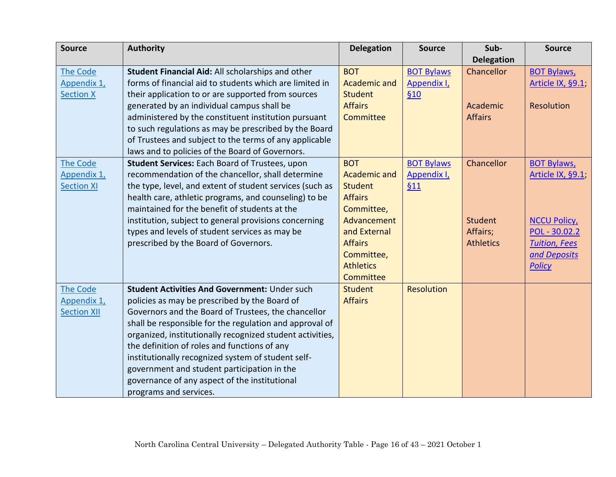| <b>Source</b>      | <b>Authority</b>                                          | <b>Delegation</b>   | <b>Source</b>     | Sub-              | <b>Source</b>        |
|--------------------|-----------------------------------------------------------|---------------------|-------------------|-------------------|----------------------|
|                    |                                                           |                     |                   | <b>Delegation</b> |                      |
| The Code           | Student Financial Aid: All scholarships and other         | <b>BOT</b>          | <b>BOT Bylaws</b> | Chancellor        | <b>BOT Bylaws,</b>   |
| Appendix 1,        | forms of financial aid to students which are limited in   | Academic and        | Appendix I,       |                   | Article IX, §9.1,    |
| <b>Section X</b>   | their application to or are supported from sources        | <b>Student</b>      | 610               |                   |                      |
|                    | generated by an individual campus shall be                | <b>Affairs</b>      |                   | Academic          | Resolution           |
|                    | administered by the constituent institution pursuant      | Committee           |                   | <b>Affairs</b>    |                      |
|                    | to such regulations as may be prescribed by the Board     |                     |                   |                   |                      |
|                    | of Trustees and subject to the terms of any applicable    |                     |                   |                   |                      |
|                    | laws and to policies of the Board of Governors.           |                     |                   |                   |                      |
| <b>The Code</b>    | Student Services: Each Board of Trustees, upon            | <b>BOT</b>          | <b>BOT Bylaws</b> | Chancellor        | <b>BOT Bylaws,</b>   |
| Appendix 1,        | recommendation of the chancellor, shall determine         | <b>Academic and</b> | Appendix I,       |                   | Article IX, §9.1,    |
| <b>Section XI</b>  | the type, level, and extent of student services (such as  | <b>Student</b>      | 611               |                   |                      |
|                    | health care, athletic programs, and counseling) to be     | <b>Affairs</b>      |                   |                   |                      |
|                    | maintained for the benefit of students at the             | Committee,          |                   |                   |                      |
|                    | institution, subject to general provisions concerning     | Advancement         |                   | <b>Student</b>    | <b>NCCU Policy</b>   |
|                    | types and levels of student services as may be            | and External        |                   | Affairs;          | POL - 30.02.2        |
|                    | prescribed by the Board of Governors.                     | <b>Affairs</b>      |                   | <b>Athletics</b>  | <b>Tuition, Fees</b> |
|                    |                                                           | Committee,          |                   |                   | and Deposits         |
|                    |                                                           | <b>Athletics</b>    |                   |                   | <b>Policy</b>        |
|                    |                                                           | Committee           |                   |                   |                      |
| <b>The Code</b>    | Student Activities And Government: Under such             | <b>Student</b>      | <b>Resolution</b> |                   |                      |
| Appendix 1,        | policies as may be prescribed by the Board of             | <b>Affairs</b>      |                   |                   |                      |
| <b>Section XII</b> | Governors and the Board of Trustees, the chancellor       |                     |                   |                   |                      |
|                    | shall be responsible for the regulation and approval of   |                     |                   |                   |                      |
|                    | organized, institutionally recognized student activities, |                     |                   |                   |                      |
|                    | the definition of roles and functions of any              |                     |                   |                   |                      |
|                    | institutionally recognized system of student self-        |                     |                   |                   |                      |
|                    | government and student participation in the               |                     |                   |                   |                      |
|                    | governance of any aspect of the institutional             |                     |                   |                   |                      |
|                    | programs and services.                                    |                     |                   |                   |                      |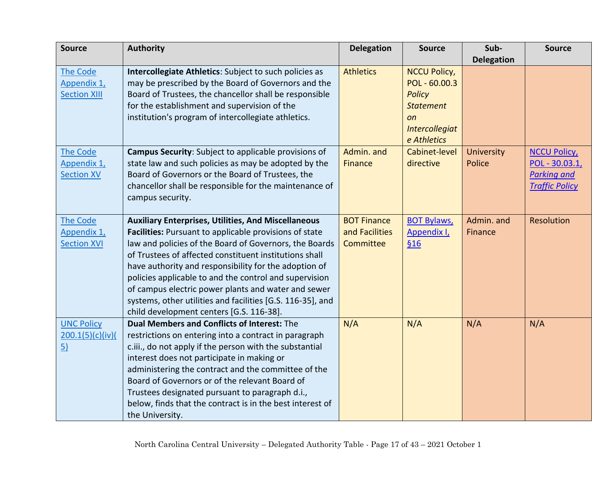| <b>Source</b>       | <b>Authority</b>                                           | <b>Delegation</b>  | <b>Source</b>         | Sub-              | <b>Source</b>         |
|---------------------|------------------------------------------------------------|--------------------|-----------------------|-------------------|-----------------------|
|                     |                                                            |                    |                       | <b>Delegation</b> |                       |
| The Code            | Intercollegiate Athletics: Subject to such policies as     | <b>Athletics</b>   | <b>NCCU Policy,</b>   |                   |                       |
| Appendix 1,         | may be prescribed by the Board of Governors and the        |                    | $POL - 60.00.3$       |                   |                       |
| <b>Section XIII</b> | Board of Trustees, the chancellor shall be responsible     |                    | <b>Policy</b>         |                   |                       |
|                     | for the establishment and supervision of the               |                    | <b>Statement</b>      |                   |                       |
|                     | institution's program of intercollegiate athletics.        |                    | <b>on</b>             |                   |                       |
|                     |                                                            |                    | <b>Intercollegiat</b> |                   |                       |
|                     |                                                            |                    | e Athletics           |                   |                       |
| <b>The Code</b>     | Campus Security: Subject to applicable provisions of       | Admin. and         | Cabinet-level         | <b>University</b> | <b>NCCU Policy</b>    |
| Appendix 1,         | state law and such policies as may be adopted by the       | <b>Finance</b>     | directive             | Police            | POL - 30.03.1,        |
| <b>Section XV</b>   | Board of Governors or the Board of Trustees, the           |                    |                       |                   | <b>Parking and</b>    |
|                     | chancellor shall be responsible for the maintenance of     |                    |                       |                   | <b>Traffic Policy</b> |
|                     | campus security.                                           |                    |                       |                   |                       |
|                     |                                                            |                    |                       |                   |                       |
| The Code            | <b>Auxiliary Enterprises, Utilities, And Miscellaneous</b> | <b>BOT Finance</b> | <b>BOT Bylaws,</b>    | Admin. and        | Resolution            |
| Appendix 1,         | Facilities: Pursuant to applicable provisions of state     | and Facilities     | Appendix I,           | Finance           |                       |
| <b>Section XVI</b>  | law and policies of the Board of Governors, the Boards     | Committee          | \$16                  |                   |                       |
|                     | of Trustees of affected constituent institutions shall     |                    |                       |                   |                       |
|                     | have authority and responsibility for the adoption of      |                    |                       |                   |                       |
|                     | policies applicable to and the control and supervision     |                    |                       |                   |                       |
|                     | of campus electric power plants and water and sewer        |                    |                       |                   |                       |
|                     | systems, other utilities and facilities [G.S. 116-35], and |                    |                       |                   |                       |
|                     | child development centers [G.S. 116-38].                   |                    |                       |                   |                       |
| <b>UNC Policy</b>   | <b>Dual Members and Conflicts of Interest: The</b>         | N/A                | N/A                   | N/A               | N/A                   |
| 200.1(5)(c)(iv)(    | restrictions on entering into a contract in paragraph      |                    |                       |                   |                       |
| $\overline{5}$      | c.iii., do not apply if the person with the substantial    |                    |                       |                   |                       |
|                     | interest does not participate in making or                 |                    |                       |                   |                       |
|                     | administering the contract and the committee of the        |                    |                       |                   |                       |
|                     | Board of Governors or of the relevant Board of             |                    |                       |                   |                       |
|                     | Trustees designated pursuant to paragraph d.i.,            |                    |                       |                   |                       |
|                     | below, finds that the contract is in the best interest of  |                    |                       |                   |                       |
|                     | the University.                                            |                    |                       |                   |                       |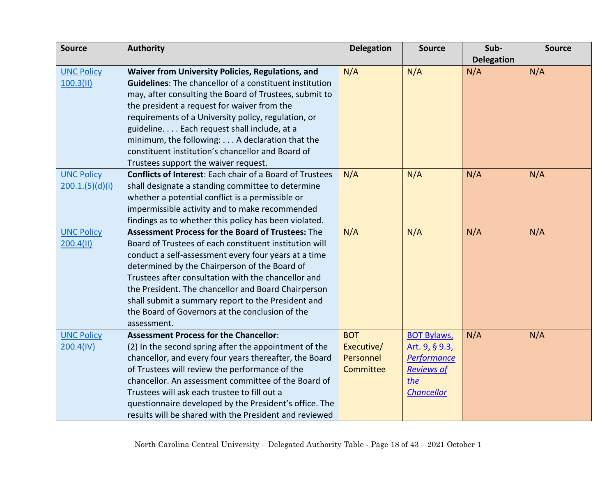| <b>Source</b>     | <b>Authority</b>                                                | <b>Delegation</b> | <b>Source</b>      | Sub-              | <b>Source</b> |
|-------------------|-----------------------------------------------------------------|-------------------|--------------------|-------------------|---------------|
|                   |                                                                 |                   |                    | <b>Delegation</b> |               |
| <b>UNC Policy</b> | Waiver from University Policies, Regulations, and               | N/A               | N/A                | N/A               | N/A           |
| 100.3(11)         | <b>Guidelines:</b> The chancellor of a constituent institution  |                   |                    |                   |               |
|                   | may, after consulting the Board of Trustees, submit to          |                   |                    |                   |               |
|                   | the president a request for waiver from the                     |                   |                    |                   |               |
|                   | requirements of a University policy, regulation, or             |                   |                    |                   |               |
|                   | guideline. Each request shall include, at a                     |                   |                    |                   |               |
|                   | minimum, the following: A declaration that the                  |                   |                    |                   |               |
|                   | constituent institution's chancellor and Board of               |                   |                    |                   |               |
|                   | Trustees support the waiver request.                            |                   |                    |                   |               |
| <b>UNC Policy</b> | <b>Conflicts of Interest: Each chair of a Board of Trustees</b> | N/A               | N/A                | N/A               | N/A           |
| 200.1.(5)(d)(i)   | shall designate a standing committee to determine               |                   |                    |                   |               |
|                   | whether a potential conflict is a permissible or                |                   |                    |                   |               |
|                   | impermissible activity and to make recommended                  |                   |                    |                   |               |
|                   | findings as to whether this policy has been violated.           |                   |                    |                   |               |
| <b>UNC Policy</b> | <b>Assessment Process for the Board of Trustees: The</b>        | N/A               | N/A                | N/A               | N/A           |
| 200.4(11)         | Board of Trustees of each constituent institution will          |                   |                    |                   |               |
|                   | conduct a self-assessment every four years at a time            |                   |                    |                   |               |
|                   | determined by the Chairperson of the Board of                   |                   |                    |                   |               |
|                   | Trustees after consultation with the chancellor and             |                   |                    |                   |               |
|                   | the President. The chancellor and Board Chairperson             |                   |                    |                   |               |
|                   | shall submit a summary report to the President and              |                   |                    |                   |               |
|                   | the Board of Governors at the conclusion of the                 |                   |                    |                   |               |
|                   | assessment.                                                     |                   |                    |                   |               |
| <b>UNC Policy</b> | <b>Assessment Process for the Chancellor:</b>                   | <b>BOT</b>        | <b>BOT Bylaws,</b> | N/A               | N/A           |
| 200.4(IV)         | (2) In the second spring after the appointment of the           | Executive/        | Art. 9, § 9.3,     |                   |               |
|                   | chancellor, and every four years thereafter, the Board          | Personnel         | <b>Performance</b> |                   |               |
|                   | of Trustees will review the performance of the                  | Committee         | <b>Reviews of</b>  |                   |               |
|                   | chancellor. An assessment committee of the Board of             |                   | the                |                   |               |
|                   | Trustees will ask each trustee to fill out a                    |                   | <b>Chancellor</b>  |                   |               |
|                   | questionnaire developed by the President's office. The          |                   |                    |                   |               |
|                   | results will be shared with the President and reviewed          |                   |                    |                   |               |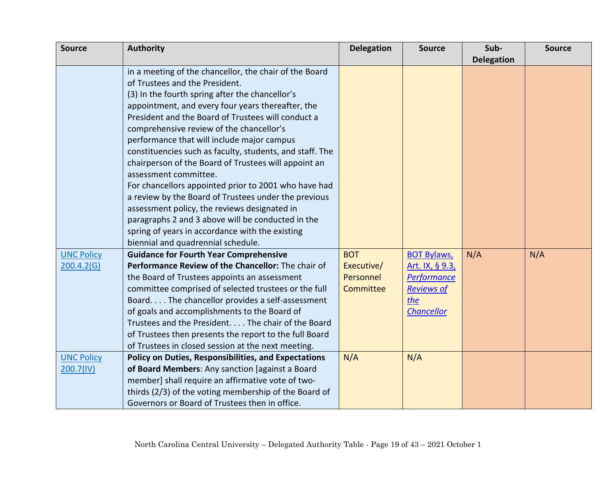| <b>Source</b>     | <b>Authority</b>                                            | <b>Delegation</b> | <b>Source</b>      | Sub-              | <b>Source</b> |
|-------------------|-------------------------------------------------------------|-------------------|--------------------|-------------------|---------------|
|                   |                                                             |                   |                    | <b>Delegation</b> |               |
|                   | in a meeting of the chancellor, the chair of the Board      |                   |                    |                   |               |
|                   | of Trustees and the President.                              |                   |                    |                   |               |
|                   | (3) In the fourth spring after the chancellor's             |                   |                    |                   |               |
|                   | appointment, and every four years thereafter, the           |                   |                    |                   |               |
|                   | President and the Board of Trustees will conduct a          |                   |                    |                   |               |
|                   | comprehensive review of the chancellor's                    |                   |                    |                   |               |
|                   | performance that will include major campus                  |                   |                    |                   |               |
|                   | constituencies such as faculty, students, and staff. The    |                   |                    |                   |               |
|                   | chairperson of the Board of Trustees will appoint an        |                   |                    |                   |               |
|                   | assessment committee.                                       |                   |                    |                   |               |
|                   | For chancellors appointed prior to 2001 who have had        |                   |                    |                   |               |
|                   | a review by the Board of Trustees under the previous        |                   |                    |                   |               |
|                   | assessment policy, the reviews designated in                |                   |                    |                   |               |
|                   | paragraphs 2 and 3 above will be conducted in the           |                   |                    |                   |               |
|                   | spring of years in accordance with the existing             |                   |                    |                   |               |
|                   | biennial and quadrennial schedule.                          |                   |                    |                   |               |
| <b>UNC Policy</b> | <b>Guidance for Fourth Year Comprehensive</b>               | <b>BOT</b>        | <b>BOT Bylaws,</b> | N/A               | N/A           |
| 200.4.2(G)        | Performance Review of the Chancellor: The chair of          | Executive/        | Art. IX, § 9.3,    |                   |               |
|                   | the Board of Trustees appoints an assessment                | Personnel         | <b>Performance</b> |                   |               |
|                   | committee comprised of selected trustees or the full        | Committee         | <b>Reviews of</b>  |                   |               |
|                   | Board The chancellor provides a self-assessment             |                   | the                |                   |               |
|                   | of goals and accomplishments to the Board of                |                   | <b>Chancellor</b>  |                   |               |
|                   | Trustees and the President. The chair of the Board          |                   |                    |                   |               |
|                   | of Trustees then presents the report to the full Board      |                   |                    |                   |               |
|                   | of Trustees in closed session at the next meeting.          |                   |                    |                   |               |
| <b>UNC Policy</b> | <b>Policy on Duties, Responsibilities, and Expectations</b> | N/A               | N/A                |                   |               |
| 200.7(IV)         | of Board Members: Any sanction [against a Board             |                   |                    |                   |               |
|                   | member] shall require an affirmative vote of two-           |                   |                    |                   |               |
|                   | thirds (2/3) of the voting membership of the Board of       |                   |                    |                   |               |
|                   | Governors or Board of Trustees then in office.              |                   |                    |                   |               |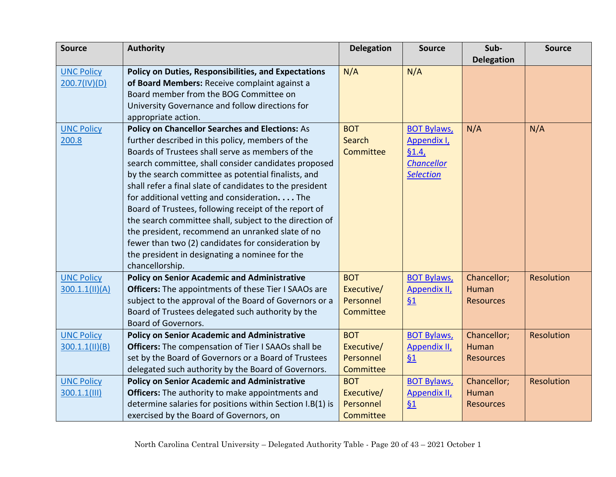| <b>Source</b>     | <b>Authority</b>                                            | <b>Delegation</b> | <b>Source</b>       | Sub-              | <b>Source</b>     |
|-------------------|-------------------------------------------------------------|-------------------|---------------------|-------------------|-------------------|
|                   |                                                             |                   |                     | <b>Delegation</b> |                   |
| <b>UNC Policy</b> | <b>Policy on Duties, Responsibilities, and Expectations</b> | N/A               | N/A                 |                   |                   |
| 200.7(IV)(D)      | of Board Members: Receive complaint against a               |                   |                     |                   |                   |
|                   | Board member from the BOG Committee on                      |                   |                     |                   |                   |
|                   | University Governance and follow directions for             |                   |                     |                   |                   |
|                   | appropriate action.                                         |                   |                     |                   |                   |
| <b>UNC Policy</b> | <b>Policy on Chancellor Searches and Elections: As</b>      | <b>BOT</b>        | <b>BOT Bylaws,</b>  | N/A               | N/A               |
| 200.8             | further described in this policy, members of the            | Search            | Appendix I,         |                   |                   |
|                   | Boards of Trustees shall serve as members of the            | Committee         | §1.4,               |                   |                   |
|                   | search committee, shall consider candidates proposed        |                   | <b>Chancellor</b>   |                   |                   |
|                   | by the search committee as potential finalists, and         |                   | <b>Selection</b>    |                   |                   |
|                   | shall refer a final slate of candidates to the president    |                   |                     |                   |                   |
|                   | for additional vetting and consideration The                |                   |                     |                   |                   |
|                   | Board of Trustees, following receipt of the report of       |                   |                     |                   |                   |
|                   | the search committee shall, subject to the direction of     |                   |                     |                   |                   |
|                   | the president, recommend an unranked slate of no            |                   |                     |                   |                   |
|                   | fewer than two (2) candidates for consideration by          |                   |                     |                   |                   |
|                   | the president in designating a nominee for the              |                   |                     |                   |                   |
|                   | chancellorship.                                             |                   |                     |                   |                   |
| <b>UNC Policy</b> | <b>Policy on Senior Academic and Administrative</b>         | <b>BOT</b>        | <b>BOT Bylaws,</b>  | Chancellor;       | <b>Resolution</b> |
| 300.1.1(11)(A)    | <b>Officers:</b> The appointments of these Tier I SAAOs are | Executive/        | <b>Appendix II,</b> | <b>Human</b>      |                   |
|                   | subject to the approval of the Board of Governors or a      | Personnel         | 61                  | <b>Resources</b>  |                   |
|                   | Board of Trustees delegated such authority by the           | Committee         |                     |                   |                   |
|                   | <b>Board of Governors.</b>                                  |                   |                     |                   |                   |
| <b>UNC Policy</b> | <b>Policy on Senior Academic and Administrative</b>         | <b>BOT</b>        | <b>BOT Bylaws,</b>  | Chancellor;       | Resolution        |
| 300.1.1(11)(B)    | <b>Officers:</b> The compensation of Tier I SAAOs shall be  | Executive/        | Appendix II,        | Human             |                   |
|                   | set by the Board of Governors or a Board of Trustees        | Personnel         | 61                  | <b>Resources</b>  |                   |
|                   | delegated such authority by the Board of Governors.         | Committee         |                     |                   |                   |
| <b>UNC Policy</b> | <b>Policy on Senior Academic and Administrative</b>         | <b>BOT</b>        | <b>BOT Bylaws,</b>  | Chancellor;       | Resolution        |
| $300.1.1$ (III)   | Officers: The authority to make appointments and            | Executive/        | <b>Appendix II,</b> | Human             |                   |
|                   | determine salaries for positions within Section I.B(1) is   | Personnel         | 61                  | <b>Resources</b>  |                   |
|                   | exercised by the Board of Governors, on                     | Committee         |                     |                   |                   |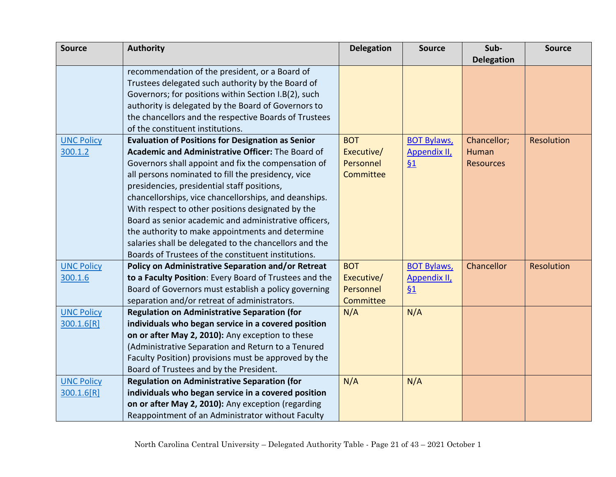| <b>Source</b>     | <b>Authority</b>                                         | <b>Delegation</b> | <b>Source</b>      | Sub-              | <b>Source</b>     |
|-------------------|----------------------------------------------------------|-------------------|--------------------|-------------------|-------------------|
|                   |                                                          |                   |                    | <b>Delegation</b> |                   |
|                   | recommendation of the president, or a Board of           |                   |                    |                   |                   |
|                   | Trustees delegated such authority by the Board of        |                   |                    |                   |                   |
|                   | Governors; for positions within Section I.B(2), such     |                   |                    |                   |                   |
|                   | authority is delegated by the Board of Governors to      |                   |                    |                   |                   |
|                   | the chancellors and the respective Boards of Trustees    |                   |                    |                   |                   |
|                   | of the constituent institutions.                         |                   |                    |                   |                   |
| <b>UNC Policy</b> | <b>Evaluation of Positions for Designation as Senior</b> | <b>BOT</b>        | <b>BOT Bylaws,</b> | Chancellor;       | <b>Resolution</b> |
| 300.1.2           | Academic and Administrative Officer: The Board of        | Executive/        | Appendix II,       | Human             |                   |
|                   | Governors shall appoint and fix the compensation of      | Personnel         | 61                 | <b>Resources</b>  |                   |
|                   | all persons nominated to fill the presidency, vice       | Committee         |                    |                   |                   |
|                   | presidencies, presidential staff positions,              |                   |                    |                   |                   |
|                   | chancellorships, vice chancellorships, and deanships.    |                   |                    |                   |                   |
|                   | With respect to other positions designated by the        |                   |                    |                   |                   |
|                   | Board as senior academic and administrative officers,    |                   |                    |                   |                   |
|                   | the authority to make appointments and determine         |                   |                    |                   |                   |
|                   | salaries shall be delegated to the chancellors and the   |                   |                    |                   |                   |
|                   | Boards of Trustees of the constituent institutions.      |                   |                    |                   |                   |
| <b>UNC Policy</b> | Policy on Administrative Separation and/or Retreat       | <b>BOT</b>        | <b>BOT Bylaws,</b> | Chancellor        | <b>Resolution</b> |
| 300.1.6           | to a Faculty Position: Every Board of Trustees and the   | Executive/        | Appendix II,       |                   |                   |
|                   | Board of Governors must establish a policy governing     | Personnel         | 61                 |                   |                   |
|                   | separation and/or retreat of administrators.             | Committee         |                    |                   |                   |
| <b>UNC Policy</b> | <b>Regulation on Administrative Separation (for</b>      | N/A               | N/A                |                   |                   |
| 300.1.6[R]        | individuals who began service in a covered position      |                   |                    |                   |                   |
|                   | on or after May 2, 2010): Any exception to these         |                   |                    |                   |                   |
|                   | (Administrative Separation and Return to a Tenured       |                   |                    |                   |                   |
|                   | Faculty Position) provisions must be approved by the     |                   |                    |                   |                   |
|                   | Board of Trustees and by the President.                  |                   |                    |                   |                   |
| <b>UNC Policy</b> | <b>Regulation on Administrative Separation (for</b>      | N/A               | N/A                |                   |                   |
| 300.1.6[R]        | individuals who began service in a covered position      |                   |                    |                   |                   |
|                   | on or after May 2, 2010): Any exception (regarding       |                   |                    |                   |                   |
|                   | Reappointment of an Administrator without Faculty        |                   |                    |                   |                   |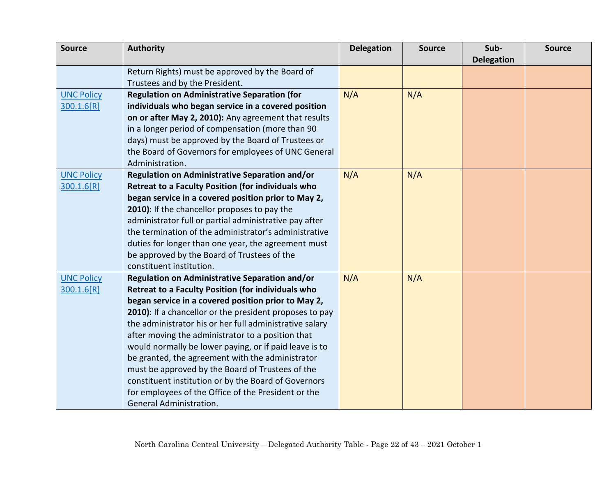| <b>Source</b>     | <b>Authority</b>                                        | <b>Delegation</b> | <b>Source</b> | Sub-              | <b>Source</b> |
|-------------------|---------------------------------------------------------|-------------------|---------------|-------------------|---------------|
|                   |                                                         |                   |               | <b>Delegation</b> |               |
|                   | Return Rights) must be approved by the Board of         |                   |               |                   |               |
|                   | Trustees and by the President.                          |                   |               |                   |               |
| <b>UNC Policy</b> | <b>Regulation on Administrative Separation (for</b>     | N/A               | N/A           |                   |               |
| 300.1.6[R]        | individuals who began service in a covered position     |                   |               |                   |               |
|                   | on or after May 2, 2010): Any agreement that results    |                   |               |                   |               |
|                   | in a longer period of compensation (more than 90        |                   |               |                   |               |
|                   | days) must be approved by the Board of Trustees or      |                   |               |                   |               |
|                   | the Board of Governors for employees of UNC General     |                   |               |                   |               |
|                   | Administration.                                         |                   |               |                   |               |
| <b>UNC Policy</b> | Regulation on Administrative Separation and/or          | N/A               | N/A           |                   |               |
| 300.1.6[R]        | Retreat to a Faculty Position (for individuals who      |                   |               |                   |               |
|                   | began service in a covered position prior to May 2,     |                   |               |                   |               |
|                   | 2010): If the chancellor proposes to pay the            |                   |               |                   |               |
|                   | administrator full or partial administrative pay after  |                   |               |                   |               |
|                   | the termination of the administrator's administrative   |                   |               |                   |               |
|                   | duties for longer than one year, the agreement must     |                   |               |                   |               |
|                   | be approved by the Board of Trustees of the             |                   |               |                   |               |
|                   | constituent institution.                                |                   |               |                   |               |
| <b>UNC Policy</b> | Regulation on Administrative Separation and/or          | N/A               | N/A           |                   |               |
| 300.1.6[R]        | Retreat to a Faculty Position (for individuals who      |                   |               |                   |               |
|                   | began service in a covered position prior to May 2,     |                   |               |                   |               |
|                   | 2010): If a chancellor or the president proposes to pay |                   |               |                   |               |
|                   | the administrator his or her full administrative salary |                   |               |                   |               |
|                   | after moving the administrator to a position that       |                   |               |                   |               |
|                   | would normally be lower paying, or if paid leave is to  |                   |               |                   |               |
|                   | be granted, the agreement with the administrator        |                   |               |                   |               |
|                   | must be approved by the Board of Trustees of the        |                   |               |                   |               |
|                   | constituent institution or by the Board of Governors    |                   |               |                   |               |
|                   | for employees of the Office of the President or the     |                   |               |                   |               |
|                   | <b>General Administration.</b>                          |                   |               |                   |               |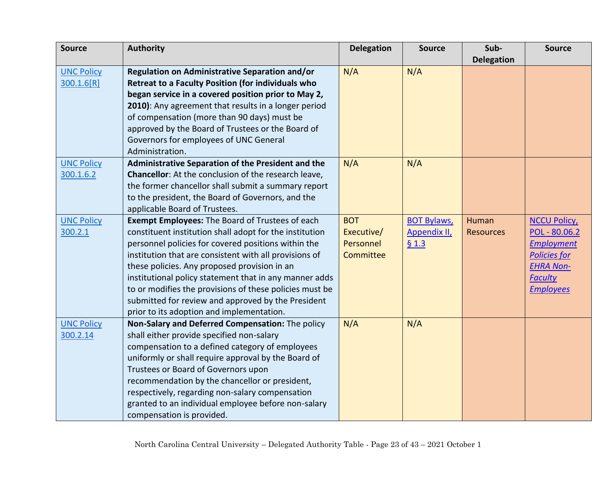| <b>Source</b>     | <b>Authority</b>                                                                                       | <b>Delegation</b>       | <b>Source</b>       | Sub-              | <b>Source</b>                            |
|-------------------|--------------------------------------------------------------------------------------------------------|-------------------------|---------------------|-------------------|------------------------------------------|
|                   |                                                                                                        |                         |                     | <b>Delegation</b> |                                          |
| <b>UNC Policy</b> | Regulation on Administrative Separation and/or                                                         | N/A                     | N/A                 |                   |                                          |
| 300.1.6[R]        | <b>Retreat to a Faculty Position (for individuals who</b>                                              |                         |                     |                   |                                          |
|                   | began service in a covered position prior to May 2,                                                    |                         |                     |                   |                                          |
|                   | 2010): Any agreement that results in a longer period                                                   |                         |                     |                   |                                          |
|                   | of compensation (more than 90 days) must be                                                            |                         |                     |                   |                                          |
|                   | approved by the Board of Trustees or the Board of                                                      |                         |                     |                   |                                          |
|                   | Governors for employees of UNC General                                                                 |                         |                     |                   |                                          |
|                   | Administration.                                                                                        |                         |                     |                   |                                          |
| <b>UNC Policy</b> | Administrative Separation of the President and the                                                     | N/A                     | N/A                 |                   |                                          |
| 300.1.6.2         | Chancellor: At the conclusion of the research leave,                                                   |                         |                     |                   |                                          |
|                   | the former chancellor shall submit a summary report                                                    |                         |                     |                   |                                          |
|                   | to the president, the Board of Governors, and the                                                      |                         |                     |                   |                                          |
|                   | applicable Board of Trustees.                                                                          |                         |                     |                   |                                          |
| <b>UNC Policy</b> | <b>Exempt Employees: The Board of Trustees of each</b>                                                 | <b>BOT</b>              | <b>BOT Bylaws,</b>  | Human             | <b>NCCU Policy</b>                       |
| 300.2.1           | constituent institution shall adopt for the institution                                                | Executive/<br>Personnel | <b>Appendix II,</b> | <b>Resources</b>  | POL - 80.06.2                            |
|                   | personnel policies for covered positions within the                                                    | <b>Committee</b>        | 61.3                |                   | <b>Employment</b><br><b>Policies for</b> |
|                   | institution that are consistent with all provisions of<br>these policies. Any proposed provision in an |                         |                     |                   | <b>EHRA Non-</b>                         |
|                   | institutional policy statement that in any manner adds                                                 |                         |                     |                   | <b>Faculty</b>                           |
|                   | to or modifies the provisions of these policies must be                                                |                         |                     |                   | <b>Employees</b>                         |
|                   | submitted for review and approved by the President                                                     |                         |                     |                   |                                          |
|                   | prior to its adoption and implementation.                                                              |                         |                     |                   |                                          |
| <b>UNC Policy</b> | Non-Salary and Deferred Compensation: The policy                                                       | N/A                     | N/A                 |                   |                                          |
| 300.2.14          | shall either provide specified non-salary                                                              |                         |                     |                   |                                          |
|                   | compensation to a defined category of employees                                                        |                         |                     |                   |                                          |
|                   | uniformly or shall require approval by the Board of                                                    |                         |                     |                   |                                          |
|                   | Trustees or Board of Governors upon                                                                    |                         |                     |                   |                                          |
|                   | recommendation by the chancellor or president,                                                         |                         |                     |                   |                                          |
|                   | respectively, regarding non-salary compensation                                                        |                         |                     |                   |                                          |
|                   | granted to an individual employee before non-salary                                                    |                         |                     |                   |                                          |
|                   | compensation is provided.                                                                              |                         |                     |                   |                                          |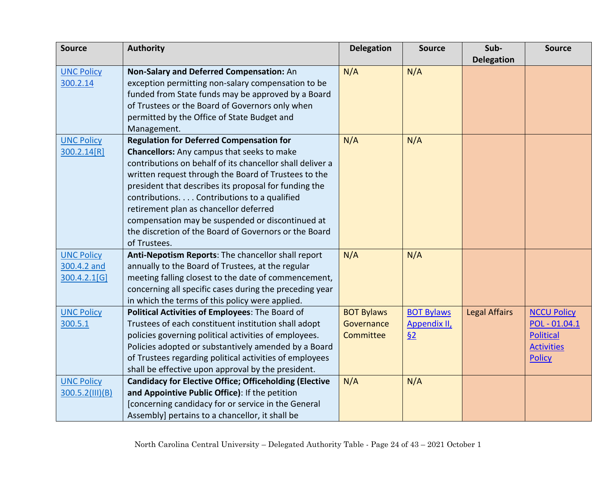| <b>Source</b>                           | <b>Authority</b>                                                                                                | <b>Delegation</b> | <b>Source</b>       | Sub-                 | <b>Source</b>                      |
|-----------------------------------------|-----------------------------------------------------------------------------------------------------------------|-------------------|---------------------|----------------------|------------------------------------|
|                                         |                                                                                                                 |                   |                     | <b>Delegation</b>    |                                    |
| <b>UNC Policy</b>                       | Non-Salary and Deferred Compensation: An                                                                        | N/A               | N/A                 |                      |                                    |
| 300.2.14                                | exception permitting non-salary compensation to be                                                              |                   |                     |                      |                                    |
|                                         | funded from State funds may be approved by a Board                                                              |                   |                     |                      |                                    |
|                                         | of Trustees or the Board of Governors only when                                                                 |                   |                     |                      |                                    |
|                                         | permitted by the Office of State Budget and                                                                     |                   |                     |                      |                                    |
|                                         | Management.                                                                                                     |                   |                     |                      |                                    |
| <b>UNC Policy</b>                       | <b>Regulation for Deferred Compensation for</b>                                                                 | N/A               | N/A                 |                      |                                    |
| 300.2.14[R]                             | <b>Chancellors:</b> Any campus that seeks to make                                                               |                   |                     |                      |                                    |
|                                         | contributions on behalf of its chancellor shall deliver a                                                       |                   |                     |                      |                                    |
|                                         | written request through the Board of Trustees to the                                                            |                   |                     |                      |                                    |
|                                         | president that describes its proposal for funding the                                                           |                   |                     |                      |                                    |
|                                         | contributions. Contributions to a qualified                                                                     |                   |                     |                      |                                    |
|                                         | retirement plan as chancellor deferred                                                                          |                   |                     |                      |                                    |
|                                         | compensation may be suspended or discontinued at                                                                |                   |                     |                      |                                    |
|                                         | the discretion of the Board of Governors or the Board                                                           |                   |                     |                      |                                    |
|                                         | of Trustees.                                                                                                    |                   |                     |                      |                                    |
| <b>UNC Policy</b>                       | Anti-Nepotism Reports: The chancellor shall report                                                              | N/A               | N/A                 |                      |                                    |
| 300.4.2 and                             | annually to the Board of Trustees, at the regular                                                               |                   |                     |                      |                                    |
| 300.4.2.1[G]                            | meeting falling closest to the date of commencement,                                                            |                   |                     |                      |                                    |
|                                         | concerning all specific cases during the preceding year                                                         |                   |                     |                      |                                    |
|                                         | in which the terms of this policy were applied.                                                                 |                   |                     |                      |                                    |
| <b>UNC Policy</b>                       | Political Activities of Employees: The Board of                                                                 | <b>BOT Bylaws</b> | <b>BOT Bylaws</b>   | <b>Legal Affairs</b> | <b>NCCU Policy</b>                 |
| 300.5.1                                 | Trustees of each constituent institution shall adopt                                                            | Governance        | <b>Appendix II,</b> |                      | POL - 01.04.1                      |
|                                         | policies governing political activities of employees.                                                           | Committee         | 62                  |                      | <b>Political</b>                   |
|                                         | Policies adopted or substantively amended by a Board                                                            |                   |                     |                      | <b>Activities</b><br><b>Policy</b> |
|                                         | of Trustees regarding political activities of employees<br>shall be effective upon approval by the president.   |                   |                     |                      |                                    |
|                                         |                                                                                                                 | N/A               |                     |                      |                                    |
| <b>UNC Policy</b><br>$300.5.2$ (III)(B) | <b>Candidacy for Elective Office; Officeholding (Elective</b><br>and Appointive Public Office): If the petition |                   | N/A                 |                      |                                    |
|                                         | [concerning candidacy for or service in the General                                                             |                   |                     |                      |                                    |
|                                         | Assembly] pertains to a chancellor, it shall be                                                                 |                   |                     |                      |                                    |
|                                         |                                                                                                                 |                   |                     |                      |                                    |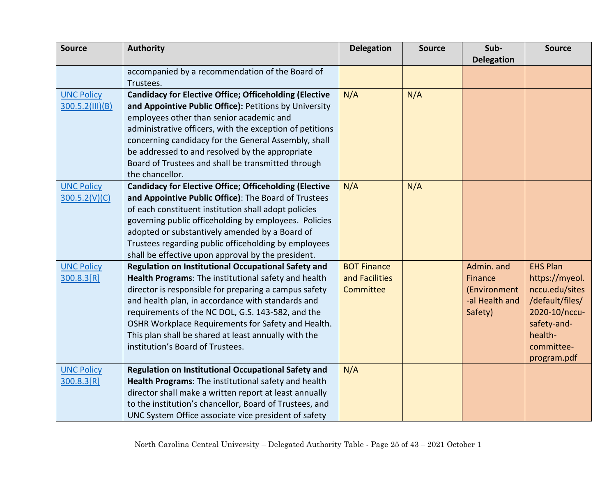| <b>Source</b>     | <b>Authority</b>                                                                         | <b>Delegation</b>  | <b>Source</b> | Sub-              | <b>Source</b>          |
|-------------------|------------------------------------------------------------------------------------------|--------------------|---------------|-------------------|------------------------|
|                   |                                                                                          |                    |               | <b>Delegation</b> |                        |
|                   | accompanied by a recommendation of the Board of                                          |                    |               |                   |                        |
|                   | Trustees.                                                                                |                    |               |                   |                        |
| <b>UNC Policy</b> | <b>Candidacy for Elective Office; Officeholding (Elective</b>                            | N/A                | N/A           |                   |                        |
| 300.5.2(III)(B)   | and Appointive Public Office): Petitions by University                                   |                    |               |                   |                        |
|                   | employees other than senior academic and                                                 |                    |               |                   |                        |
|                   | administrative officers, with the exception of petitions                                 |                    |               |                   |                        |
|                   | concerning candidacy for the General Assembly, shall                                     |                    |               |                   |                        |
|                   | be addressed to and resolved by the appropriate                                          |                    |               |                   |                        |
|                   | Board of Trustees and shall be transmitted through                                       |                    |               |                   |                        |
|                   | the chancellor.                                                                          |                    |               |                   |                        |
| <b>UNC Policy</b> | <b>Candidacy for Elective Office; Officeholding (Elective</b>                            | N/A                | N/A           |                   |                        |
| 300.5.2(V)(C)     | and Appointive Public Office): The Board of Trustees                                     |                    |               |                   |                        |
|                   | of each constituent institution shall adopt policies                                     |                    |               |                   |                        |
|                   | governing public officeholding by employees. Policies                                    |                    |               |                   |                        |
|                   | adopted or substantively amended by a Board of                                           |                    |               |                   |                        |
|                   | Trustees regarding public officeholding by employees                                     |                    |               |                   |                        |
|                   | shall be effective upon approval by the president.                                       |                    |               |                   |                        |
| <b>UNC Policy</b> | Regulation on Institutional Occupational Safety and                                      | <b>BOT Finance</b> |               | Admin. and        | <b>EHS Plan</b>        |
| 300.8.3[R]        | Health Programs: The institutional safety and health                                     | and Facilities     |               | Finance           | https://myeol.         |
|                   | director is responsible for preparing a campus safety                                    | Committee          |               | (Environment      | nccu.edu/sites         |
|                   | and health plan, in accordance with standards and                                        |                    |               | -al Health and    | /default/files/        |
|                   | requirements of the NC DOL, G.S. 143-582, and the                                        |                    |               | Safety)           | 2020-10/nccu-          |
|                   | OSHR Workplace Requirements for Safety and Health.                                       |                    |               |                   | safety-and-<br>health- |
|                   | This plan shall be shared at least annually with the<br>institution's Board of Trustees. |                    |               |                   | committee-             |
|                   |                                                                                          |                    |               |                   | program.pdf            |
| <b>UNC Policy</b> | Regulation on Institutional Occupational Safety and                                      | N/A                |               |                   |                        |
| 300.8.3[R]        | Health Programs: The institutional safety and health                                     |                    |               |                   |                        |
|                   | director shall make a written report at least annually                                   |                    |               |                   |                        |
|                   | to the institution's chancellor, Board of Trustees, and                                  |                    |               |                   |                        |
|                   | UNC System Office associate vice president of safety                                     |                    |               |                   |                        |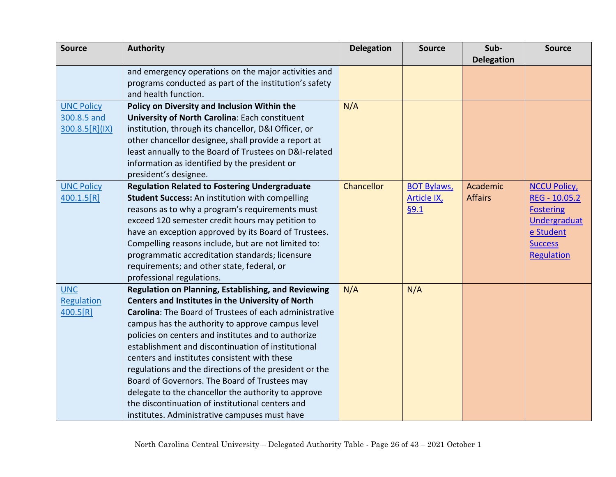| <b>Source</b>            | <b>Authority</b>                                                                                         | <b>Delegation</b> | <b>Source</b>      | Sub-              | <b>Source</b>      |
|--------------------------|----------------------------------------------------------------------------------------------------------|-------------------|--------------------|-------------------|--------------------|
|                          |                                                                                                          |                   |                    | <b>Delegation</b> |                    |
|                          | and emergency operations on the major activities and                                                     |                   |                    |                   |                    |
|                          | programs conducted as part of the institution's safety                                                   |                   |                    |                   |                    |
|                          | and health function.                                                                                     |                   |                    |                   |                    |
| <b>UNC Policy</b>        | Policy on Diversity and Inclusion Within the                                                             | N/A               |                    |                   |                    |
| 300.8.5 and              | University of North Carolina: Each constituent                                                           |                   |                    |                   |                    |
| 300.8.5[R](1X)           | institution, through its chancellor, D&I Officer, or                                                     |                   |                    |                   |                    |
|                          | other chancellor designee, shall provide a report at                                                     |                   |                    |                   |                    |
|                          | least annually to the Board of Trustees on D&I-related                                                   |                   |                    |                   |                    |
|                          | information as identified by the president or                                                            |                   |                    |                   |                    |
|                          | president's designee.                                                                                    |                   |                    |                   |                    |
| <b>UNC Policy</b>        | <b>Regulation Related to Fostering Undergraduate</b>                                                     | Chancellor        | <b>BOT Bylaws,</b> | Academic          | <b>NCCU Policy</b> |
| 400.1.5[R]               | Student Success: An institution with compelling                                                          |                   | <b>Article IX</b>  | <b>Affairs</b>    | REG - 10.05.2      |
|                          | reasons as to why a program's requirements must                                                          |                   | §9.1               |                   | <b>Fostering</b>   |
|                          | exceed 120 semester credit hours may petition to                                                         |                   |                    |                   | Undergraduat       |
|                          | have an exception approved by its Board of Trustees.                                                     |                   |                    |                   | e Student          |
|                          | Compelling reasons include, but are not limited to:                                                      |                   |                    |                   | <b>Success</b>     |
|                          | programmatic accreditation standards; licensure                                                          |                   |                    |                   | Regulation         |
|                          | requirements; and other state, federal, or                                                               |                   |                    |                   |                    |
|                          | professional regulations.                                                                                | N/A               |                    |                   |                    |
| <b>UNC</b><br>Regulation | Regulation on Planning, Establishing, and Reviewing<br>Centers and Institutes in the University of North |                   | N/A                |                   |                    |
| 400.5[R]                 | Carolina: The Board of Trustees of each administrative                                                   |                   |                    |                   |                    |
|                          | campus has the authority to approve campus level                                                         |                   |                    |                   |                    |
|                          | policies on centers and institutes and to authorize                                                      |                   |                    |                   |                    |
|                          | establishment and discontinuation of institutional                                                       |                   |                    |                   |                    |
|                          | centers and institutes consistent with these                                                             |                   |                    |                   |                    |
|                          | regulations and the directions of the president or the                                                   |                   |                    |                   |                    |
|                          | Board of Governors. The Board of Trustees may                                                            |                   |                    |                   |                    |
|                          | delegate to the chancellor the authority to approve                                                      |                   |                    |                   |                    |
|                          | the discontinuation of institutional centers and                                                         |                   |                    |                   |                    |
|                          | institutes. Administrative campuses must have                                                            |                   |                    |                   |                    |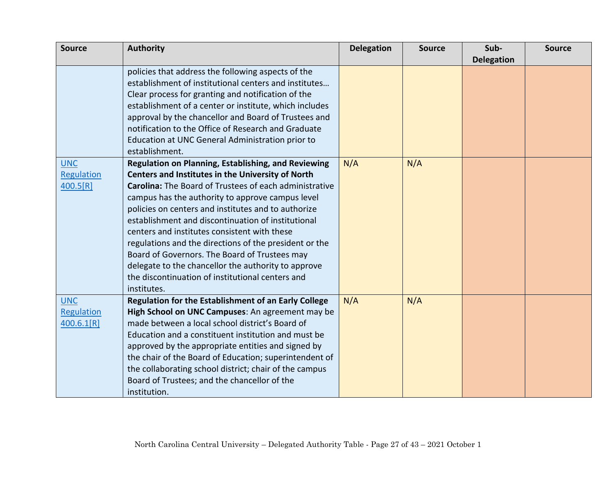| <b>Source</b> | <b>Authority</b>                                              | <b>Delegation</b> | <b>Source</b> | Sub-              | <b>Source</b> |
|---------------|---------------------------------------------------------------|-------------------|---------------|-------------------|---------------|
|               |                                                               |                   |               | <b>Delegation</b> |               |
|               | policies that address the following aspects of the            |                   |               |                   |               |
|               | establishment of institutional centers and institutes         |                   |               |                   |               |
|               | Clear process for granting and notification of the            |                   |               |                   |               |
|               | establishment of a center or institute, which includes        |                   |               |                   |               |
|               | approval by the chancellor and Board of Trustees and          |                   |               |                   |               |
|               | notification to the Office of Research and Graduate           |                   |               |                   |               |
|               | Education at UNC General Administration prior to              |                   |               |                   |               |
|               | establishment.                                                |                   |               |                   |               |
| <b>UNC</b>    | <b>Regulation on Planning, Establishing, and Reviewing</b>    | N/A               | N/A           |                   |               |
| Regulation    | <b>Centers and Institutes in the University of North</b>      |                   |               |                   |               |
| 400.5[R]      | <b>Carolina:</b> The Board of Trustees of each administrative |                   |               |                   |               |
|               | campus has the authority to approve campus level              |                   |               |                   |               |
|               | policies on centers and institutes and to authorize           |                   |               |                   |               |
|               | establishment and discontinuation of institutional            |                   |               |                   |               |
|               | centers and institutes consistent with these                  |                   |               |                   |               |
|               | regulations and the directions of the president or the        |                   |               |                   |               |
|               | Board of Governors. The Board of Trustees may                 |                   |               |                   |               |
|               | delegate to the chancellor the authority to approve           |                   |               |                   |               |
|               | the discontinuation of institutional centers and              |                   |               |                   |               |
|               | institutes.                                                   |                   |               |                   |               |
| <b>UNC</b>    | Regulation for the Establishment of an Early College          | N/A               | N/A           |                   |               |
| Regulation    | High School on UNC Campuses: An agreement may be              |                   |               |                   |               |
| 400.6.1[R]    | made between a local school district's Board of               |                   |               |                   |               |
|               | Education and a constituent institution and must be           |                   |               |                   |               |
|               | approved by the appropriate entities and signed by            |                   |               |                   |               |
|               | the chair of the Board of Education; superintendent of        |                   |               |                   |               |
|               | the collaborating school district; chair of the campus        |                   |               |                   |               |
|               | Board of Trustees; and the chancellor of the                  |                   |               |                   |               |
|               | institution.                                                  |                   |               |                   |               |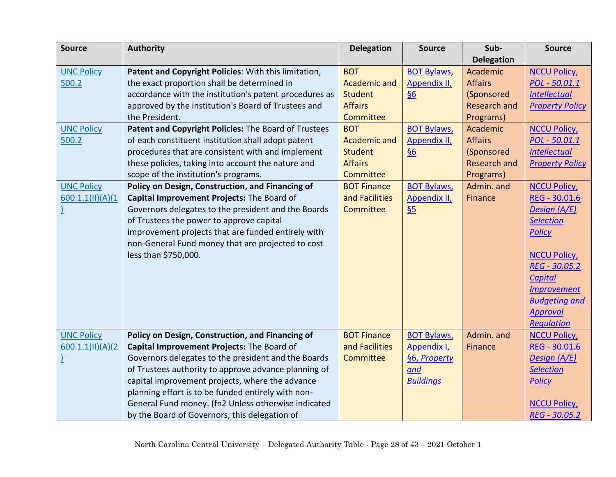| <b>Source</b>     | <b>Authority</b>                                       | <b>Delegation</b>   | <b>Source</b>       | Sub-                | <b>Source</b>          |
|-------------------|--------------------------------------------------------|---------------------|---------------------|---------------------|------------------------|
|                   |                                                        |                     |                     | <b>Delegation</b>   |                        |
| <b>UNC Policy</b> | Patent and Copyright Policies: With this limitation,   | <b>BOT</b>          | <b>BOT Bylaws,</b>  | Academic            | <b>NCCU Policy</b>     |
| 500.2             | the exact proportion shall be determined in            | <b>Academic and</b> | Appendix II,        | <b>Affairs</b>      | POL - 50.01.1          |
|                   | accordance with the institution's patent procedures as | <b>Student</b>      | §6                  | (Sponsored          | <b>Intellectual</b>    |
|                   | approved by the institution's Board of Trustees and    | <b>Affairs</b>      |                     | <b>Research and</b> | <b>Property Policy</b> |
|                   | the President.                                         | Committee           |                     | Programs)           |                        |
| <b>UNC Policy</b> | Patent and Copyright Policies: The Board of Trustees   | <b>BOT</b>          | <b>BOT Bylaws,</b>  | Academic            | <b>NCCU Policy</b>     |
| 500.2             | of each constituent institution shall adopt patent     | <b>Academic and</b> | <b>Appendix II,</b> | <b>Affairs</b>      | POL - 50.01.1          |
|                   | procedures that are consistent with and implement      | <b>Student</b>      | $\underline{\S6}$   | (Sponsored          | <b>Intellectual</b>    |
|                   | these policies, taking into account the nature and     | <b>Affairs</b>      |                     | <b>Research and</b> | <b>Property Policy</b> |
|                   | scope of the institution's programs.                   | Committee           |                     | Programs)           |                        |
| <b>UNC Policy</b> | Policy on Design, Construction, and Financing of       | <b>BOT Finance</b>  | <b>BOT Bylaws,</b>  | Admin. and          | <b>NCCU Policy</b>     |
| 600.1.1(11)(A)(1) | Capital Improvement Projects: The Board of             | and Facilities      | Appendix II,        | Finance             | REG - 30.01.6          |
|                   | Governors delegates to the president and the Boards    | Committee           | $\underline{\S5}$   |                     | Design (A/E)           |
|                   | of Trustees the power to approve capital               |                     |                     |                     | <b>Selection</b>       |
|                   | improvement projects that are funded entirely with     |                     |                     |                     | <b>Policy</b>          |
|                   | non-General Fund money that are projected to cost      |                     |                     |                     |                        |
|                   | less than \$750,000.                                   |                     |                     |                     | <b>NCCU Policy</b>     |
|                   |                                                        |                     |                     |                     | REG - 30.05.2          |
|                   |                                                        |                     |                     |                     | <b>Capital</b>         |
|                   |                                                        |                     |                     |                     | <b>Improvement</b>     |
|                   |                                                        |                     |                     |                     | <b>Budgeting and</b>   |
|                   |                                                        |                     |                     |                     | <b>Approval</b>        |
|                   |                                                        |                     |                     |                     | Regulation             |
| <b>UNC Policy</b> | Policy on Design, Construction, and Financing of       | <b>BOT Finance</b>  | <b>BOT Bylaws,</b>  | Admin. and          | <b>NCCU Policy</b>     |
| 600.1.1(11)(A)(2) | Capital Improvement Projects: The Board of             | and Facilities      | Appendix I,         | Finance             | REG - 30.01.6          |
|                   | Governors delegates to the president and the Boards    | Committee           | §6, Property        |                     | Design (A/E)           |
|                   | of Trustees authority to approve advance planning of   |                     | and                 |                     | <b>Selection</b>       |
|                   | capital improvement projects, where the advance        |                     | <b>Buildings</b>    |                     | <b>Policy</b>          |
|                   | planning effort is to be funded entirely with non-     |                     |                     |                     |                        |
|                   | General Fund money. (fn2 Unless otherwise indicated    |                     |                     |                     | <b>NCCU Policy,</b>    |
|                   | by the Board of Governors, this delegation of          |                     |                     |                     | REG - 30.05.2          |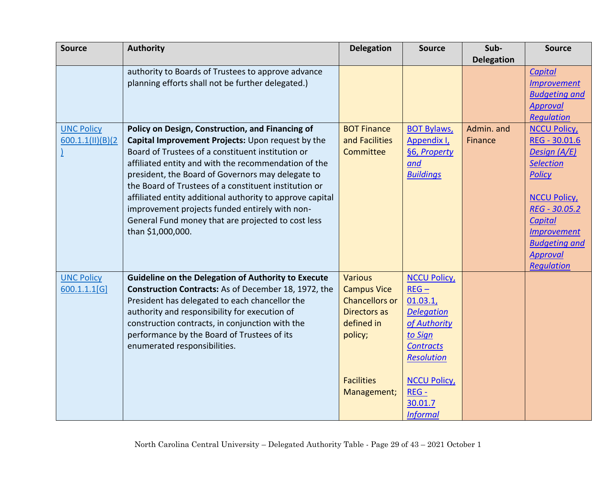| <b>Source</b>     | <b>Authority</b>                                           | <b>Delegation</b>     | <b>Source</b>       | Sub-              | <b>Source</b>        |
|-------------------|------------------------------------------------------------|-----------------------|---------------------|-------------------|----------------------|
|                   |                                                            |                       |                     | <b>Delegation</b> |                      |
|                   | authority to Boards of Trustees to approve advance         |                       |                     |                   | Capital              |
|                   | planning efforts shall not be further delegated.)          |                       |                     |                   | <b>Improvement</b>   |
|                   |                                                            |                       |                     |                   | <b>Budgeting and</b> |
|                   |                                                            |                       |                     |                   | <b>Approval</b>      |
|                   |                                                            |                       |                     |                   | Regulation           |
| <b>UNC Policy</b> | Policy on Design, Construction, and Financing of           | <b>BOT Finance</b>    | <b>BOT Bylaws,</b>  | Admin. and        | <b>NCCU Policy</b>   |
| 600.1.1(11)(B)(2) | Capital Improvement Projects: Upon request by the          | and Facilities        | Appendix I,         | Finance           | REG - 30.01.6        |
|                   | Board of Trustees of a constituent institution or          | Committee             | §6, Property        |                   | Design (A/E)         |
|                   | affiliated entity and with the recommendation of the       |                       | and                 |                   | <b>Selection</b>     |
|                   | president, the Board of Governors may delegate to          |                       | <b>Buildings</b>    |                   | <b>Policy</b>        |
|                   | the Board of Trustees of a constituent institution or      |                       |                     |                   |                      |
|                   | affiliated entity additional authority to approve capital  |                       |                     |                   | <b>NCCU Policy</b>   |
|                   | improvement projects funded entirely with non-             |                       |                     |                   | REG - 30.05.2        |
|                   | General Fund money that are projected to cost less         |                       |                     |                   | <b>Capital</b>       |
|                   | than \$1,000,000.                                          |                       |                     |                   | <b>Improvement</b>   |
|                   |                                                            |                       |                     |                   | <b>Budgeting and</b> |
|                   |                                                            |                       |                     |                   | <b>Approval</b>      |
|                   |                                                            |                       |                     |                   | Regulation           |
| <b>UNC Policy</b> | <b>Guideline on the Delegation of Authority to Execute</b> | <b>Various</b>        | <b>NCCU Policy</b>  |                   |                      |
| 600.1.1.1[G]      | Construction Contracts: As of December 18, 1972, the       | <b>Campus Vice</b>    | $REG -$             |                   |                      |
|                   | President has delegated to each chancellor the             | <b>Chancellors or</b> | 01.03.1,            |                   |                      |
|                   | authority and responsibility for execution of              | <b>Directors as</b>   | <b>Delegation</b>   |                   |                      |
|                   | construction contracts, in conjunction with the            | defined in            | of Authority        |                   |                      |
|                   | performance by the Board of Trustees of its                | policy;               | to Sign             |                   |                      |
|                   | enumerated responsibilities.                               |                       | <b>Contracts</b>    |                   |                      |
|                   |                                                            |                       | <b>Resolution</b>   |                   |                      |
|                   |                                                            | <b>Facilities</b>     | <b>NCCU Policy,</b> |                   |                      |
|                   |                                                            | Management;           | REG-                |                   |                      |
|                   |                                                            |                       | 30.01.7             |                   |                      |
|                   |                                                            |                       | <b>Informal</b>     |                   |                      |
|                   |                                                            |                       |                     |                   |                      |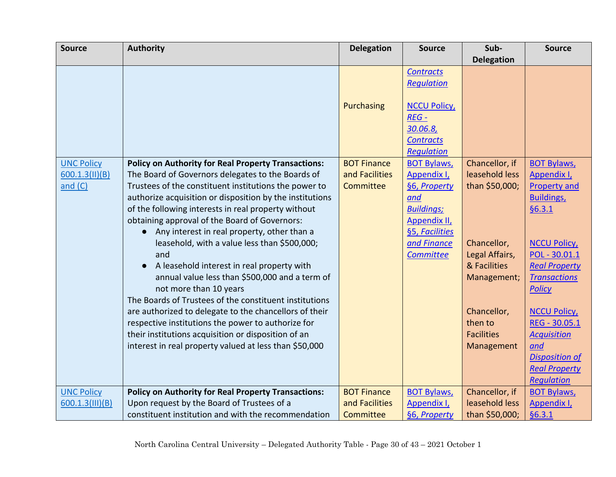| <b>Source</b>      | <b>Authority</b>                                                                                             | <b>Delegation</b>  | <b>Source</b>       | Sub-                   | <b>Source</b>                       |
|--------------------|--------------------------------------------------------------------------------------------------------------|--------------------|---------------------|------------------------|-------------------------------------|
|                    |                                                                                                              |                    |                     | <b>Delegation</b>      |                                     |
|                    |                                                                                                              |                    | <b>Contracts</b>    |                        |                                     |
|                    |                                                                                                              |                    | <b>Requlation</b>   |                        |                                     |
|                    |                                                                                                              |                    |                     |                        |                                     |
|                    |                                                                                                              | <b>Purchasing</b>  | <b>NCCU Policy</b>  |                        |                                     |
|                    |                                                                                                              |                    | $REG -$             |                        |                                     |
|                    |                                                                                                              |                    | 30.06.8,            |                        |                                     |
|                    |                                                                                                              |                    | <b>Contracts</b>    |                        |                                     |
|                    |                                                                                                              |                    | <b>Requlation</b>   |                        |                                     |
| <b>UNC Policy</b>  | <b>Policy on Authority for Real Property Transactions:</b>                                                   | <b>BOT Finance</b> | <b>BOT Bylaws,</b>  | Chancellor, if         | <b>BOT Bylaws,</b>                  |
| 600.1.3(11)(B)     | The Board of Governors delegates to the Boards of                                                            | and Facilities     | Appendix I,         | leasehold less         | Appendix I,                         |
| and $(C)$          | Trustees of the constituent institutions the power to                                                        | Committee          | §6, Property        | than \$50,000;         | <b>Property and</b>                 |
|                    | authorize acquisition or disposition by the institutions                                                     |                    | and                 |                        | <b>Buildings</b>                    |
|                    | of the following interests in real property without                                                          |                    | <b>Buildings;</b>   |                        | §6.3.1                              |
|                    | obtaining approval of the Board of Governors:                                                                |                    | <b>Appendix II,</b> |                        |                                     |
|                    | Any interest in real property, other than a<br>$\bullet$                                                     |                    | §5, Facilities      |                        |                                     |
|                    | leasehold, with a value less than \$500,000;                                                                 |                    | and Finance         | Chancellor,            | <b>NCCU Policy</b>                  |
|                    | and                                                                                                          |                    | Committee           | Legal Affairs,         | POL - 30.01.1                       |
|                    | A leasehold interest in real property with                                                                   |                    |                     | & Facilities           | <b>Real Property</b>                |
|                    | annual value less than \$500,000 and a term of                                                               |                    |                     | Management;            | <b>Transactions</b>                 |
|                    | not more than 10 years                                                                                       |                    |                     |                        | <b>Policy</b>                       |
|                    | The Boards of Trustees of the constituent institutions                                                       |                    |                     |                        |                                     |
|                    | are authorized to delegate to the chancellors of their<br>respective institutions the power to authorize for |                    |                     | Chancellor,<br>then to | <b>NCCU Policy</b><br>REG - 30.05.1 |
|                    | their institutions acquisition or disposition of an                                                          |                    |                     | <b>Facilities</b>      | <b>Acquisition</b>                  |
|                    | interest in real property valued at less than \$50,000                                                       |                    |                     | Management             | and                                 |
|                    |                                                                                                              |                    |                     |                        | <b>Disposition of</b>               |
|                    |                                                                                                              |                    |                     |                        | <b>Real Property</b>                |
|                    |                                                                                                              |                    |                     |                        | <b>Requlation</b>                   |
| <b>UNC Policy</b>  | <b>Policy on Authority for Real Property Transactions:</b>                                                   | <b>BOT Finance</b> | <b>BOT Bylaws,</b>  | Chancellor, if         | <b>BOT Bylaws,</b>                  |
| $600.1.3$ (III)(B) | Upon request by the Board of Trustees of a                                                                   | and Facilities     | Appendix I,         | leasehold less         | Appendix I,                         |
|                    | constituent institution and with the recommendation                                                          | Committee          | §6, Property        | than \$50,000;         | §6.3.1                              |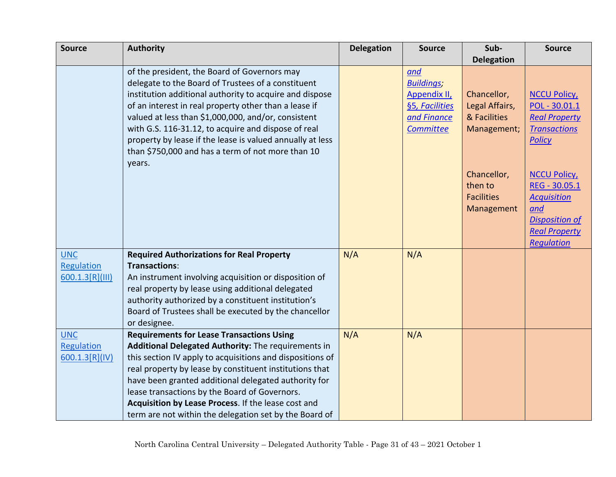| <b>Source</b>                                | <b>Authority</b>                                                                                                                                                                                                                                                                                                                                                                                                                                          | <b>Delegation</b> | <b>Source</b>                                                                                        | Sub-                                                         | <b>Source</b>                                                                                                                          |
|----------------------------------------------|-----------------------------------------------------------------------------------------------------------------------------------------------------------------------------------------------------------------------------------------------------------------------------------------------------------------------------------------------------------------------------------------------------------------------------------------------------------|-------------------|------------------------------------------------------------------------------------------------------|--------------------------------------------------------------|----------------------------------------------------------------------------------------------------------------------------------------|
|                                              |                                                                                                                                                                                                                                                                                                                                                                                                                                                           |                   |                                                                                                      | <b>Delegation</b>                                            |                                                                                                                                        |
|                                              | of the president, the Board of Governors may<br>delegate to the Board of Trustees of a constituent<br>institution additional authority to acquire and dispose<br>of an interest in real property other than a lease if<br>valued at less than \$1,000,000, and/or, consistent<br>with G.S. 116-31.12, to acquire and dispose of real<br>property by lease if the lease is valued annually at less<br>than \$750,000 and has a term of not more than 10    |                   | and<br><b>Buildings;</b><br><b>Appendix II,</b><br>§5, Facilities<br>and Finance<br><b>Committee</b> | Chancellor,<br>Legal Affairs,<br>& Facilities<br>Management; | <b>NCCU Policy</b><br>POL - 30.01.1<br><b>Real Property</b><br><b>Transactions</b><br><b>Policy</b>                                    |
|                                              | years.                                                                                                                                                                                                                                                                                                                                                                                                                                                    |                   |                                                                                                      | Chancellor,<br>then to<br><b>Facilities</b><br>Management    | <b>NCCU Policy</b><br>REG - 30.05.1<br><b>Acquisition</b><br>and<br><b>Disposition of</b><br><b>Real Property</b><br><b>Regulation</b> |
| <b>UNC</b><br>Regulation<br>600.1.3[R] (III) | <b>Required Authorizations for Real Property</b><br>Transactions:<br>An instrument involving acquisition or disposition of<br>real property by lease using additional delegated<br>authority authorized by a constituent institution's<br>Board of Trustees shall be executed by the chancellor<br>or designee.                                                                                                                                           | N/A               | N/A                                                                                                  |                                                              |                                                                                                                                        |
| <b>UNC</b><br>Regulation<br>600.1.3[R](IV)   | <b>Requirements for Lease Transactions Using</b><br>Additional Delegated Authority: The requirements in<br>this section IV apply to acquisitions and dispositions of<br>real property by lease by constituent institutions that<br>have been granted additional delegated authority for<br>lease transactions by the Board of Governors.<br>Acquisition by Lease Process. If the lease cost and<br>term are not within the delegation set by the Board of | N/A               | N/A                                                                                                  |                                                              |                                                                                                                                        |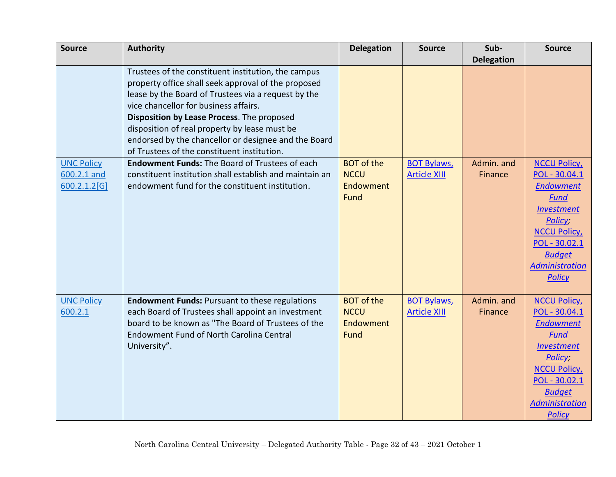| <b>Source</b>                                    | <b>Authority</b>                                                                                                                                                                                                                                                                                                                                                  | <b>Delegation</b>                                     | <b>Source</b>                             | Sub-                  | <b>Source</b>                                                                                                                                                                                            |
|--------------------------------------------------|-------------------------------------------------------------------------------------------------------------------------------------------------------------------------------------------------------------------------------------------------------------------------------------------------------------------------------------------------------------------|-------------------------------------------------------|-------------------------------------------|-----------------------|----------------------------------------------------------------------------------------------------------------------------------------------------------------------------------------------------------|
|                                                  |                                                                                                                                                                                                                                                                                                                                                                   |                                                       |                                           | <b>Delegation</b>     |                                                                                                                                                                                                          |
|                                                  | Trustees of the constituent institution, the campus<br>property office shall seek approval of the proposed<br>lease by the Board of Trustees via a request by the<br>vice chancellor for business affairs.<br>Disposition by Lease Process. The proposed<br>disposition of real property by lease must be<br>endorsed by the chancellor or designee and the Board |                                                       |                                           |                       |                                                                                                                                                                                                          |
|                                                  | of Trustees of the constituent institution.                                                                                                                                                                                                                                                                                                                       |                                                       |                                           |                       |                                                                                                                                                                                                          |
| <b>UNC Policy</b><br>600.2.1 and<br>600.2.1.2[G] | <b>Endowment Funds: The Board of Trustees of each</b><br>constituent institution shall establish and maintain an<br>endowment fund for the constituent institution.                                                                                                                                                                                               | <b>BOT</b> of the<br><b>NCCU</b><br>Endowment<br>Fund | <b>BOT Bylaws,</b><br><b>Article XIII</b> | Admin. and<br>Finance | <b>NCCU Policy</b><br>POL - 30.04.1<br><b>Endowment</b><br><b>Fund</b><br><b>Investment</b><br>Policy;<br><b>NCCU Policy</b><br>POL - 30.02.1<br><b>Budget</b><br><b>Administration</b><br><b>Policy</b> |
| <b>UNC Policy</b><br>600.2.1                     | <b>Endowment Funds: Pursuant to these regulations</b><br>each Board of Trustees shall appoint an investment<br>board to be known as "The Board of Trustees of the<br><b>Endowment Fund of North Carolina Central</b><br>University".                                                                                                                              | <b>BOT</b> of the<br><b>NCCU</b><br>Endowment<br>Fund | <b>BOT Bylaws,</b><br><b>Article XIII</b> | Admin. and<br>Finance | <b>NCCU Policy</b><br>POL - 30.04.1<br><b>Endowment</b><br><b>Fund</b><br><b>Investment</b><br>Policy;<br><b>NCCU Policy</b><br>POL - 30.02.1<br><b>Budget</b><br><b>Administration</b><br><b>Policy</b> |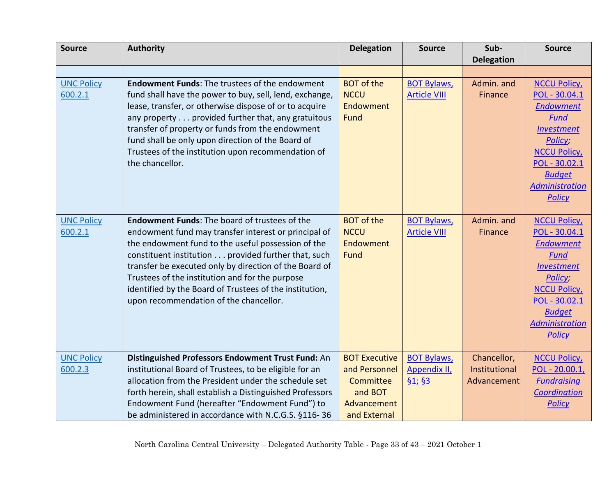| <b>Source</b>     | <b>Authority</b>                                         | <b>Delegation</b>    | <b>Source</b>       | Sub-              | <b>Source</b>                          |
|-------------------|----------------------------------------------------------|----------------------|---------------------|-------------------|----------------------------------------|
|                   |                                                          |                      |                     | <b>Delegation</b> |                                        |
|                   |                                                          |                      |                     |                   |                                        |
| <b>UNC Policy</b> | <b>Endowment Funds: The trustees of the endowment</b>    | <b>BOT</b> of the    | <b>BOT Bylaws,</b>  | Admin. and        | <b>NCCU Policy</b>                     |
| 600.2.1           | fund shall have the power to buy, sell, lend, exchange,  | <b>NCCU</b>          | <b>Article VIII</b> | Finance           | POL - 30.04.1                          |
|                   | lease, transfer, or otherwise dispose of or to acquire   | Endowment            |                     |                   | <b>Endowment</b>                       |
|                   | any property provided further that, any gratuitous       | Fund                 |                     |                   | Fund                                   |
|                   | transfer of property or funds from the endowment         |                      |                     |                   | <b>Investment</b>                      |
|                   | fund shall be only upon direction of the Board of        |                      |                     |                   | Policy;                                |
|                   | Trustees of the institution upon recommendation of       |                      |                     |                   | <b>NCCU Policy</b>                     |
|                   | the chancellor.                                          |                      |                     |                   | POL - 30.02.1                          |
|                   |                                                          |                      |                     |                   | <b>Budget</b>                          |
|                   |                                                          |                      |                     |                   | <b>Administration</b><br><b>Policy</b> |
|                   |                                                          |                      |                     |                   |                                        |
| <b>UNC Policy</b> | <b>Endowment Funds: The board of trustees of the</b>     | <b>BOT</b> of the    | <b>BOT Bylaws,</b>  | Admin. and        | <b>NCCU Policy</b>                     |
| 600.2.1           | endowment fund may transfer interest or principal of     | <b>NCCU</b>          | <b>Article VIII</b> | Finance           | POL - 30.04.1                          |
|                   | the endowment fund to the useful possession of the       | Endowment            |                     |                   | <b>Endowment</b>                       |
|                   | constituent institution provided further that, such      | <b>Fund</b>          |                     |                   | <b>Fund</b>                            |
|                   | transfer be executed only by direction of the Board of   |                      |                     |                   | <b>Investment</b>                      |
|                   | Trustees of the institution and for the purpose          |                      |                     |                   | Policy;                                |
|                   | identified by the Board of Trustees of the institution,  |                      |                     |                   | <b>NCCU Policy</b>                     |
|                   | upon recommendation of the chancellor.                   |                      |                     |                   | POL - 30.02.1                          |
|                   |                                                          |                      |                     |                   | <b>Budget</b>                          |
|                   |                                                          |                      |                     |                   | <b>Administration</b>                  |
|                   |                                                          |                      |                     |                   | <b>Policy</b>                          |
| <b>UNC Policy</b> | Distinguished Professors Endowment Trust Fund: An        | <b>BOT Executive</b> | <b>BOT Bylaws,</b>  | Chancellor,       | <b>NCCU Policy</b>                     |
| 600.2.3           | institutional Board of Trustees, to be eligible for an   | and Personnel        | <b>Appendix II,</b> | Institutional     | $POL - 20.00.1,$                       |
|                   | allocation from the President under the schedule set     | Committee            | \$1; \$3            | Advancement       | <b>Fundraising</b>                     |
|                   | forth herein, shall establish a Distinguished Professors | and BOT              |                     |                   | Coordination                           |
|                   | Endowment Fund (hereafter "Endowment Fund") to           | Advancement          |                     |                   | <b>Policy</b>                          |
|                   | be administered in accordance with N.C.G.S. §116-36      | and External         |                     |                   |                                        |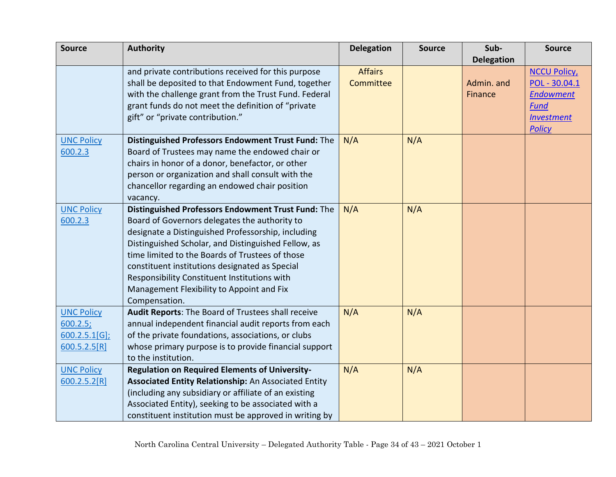| <b>Source</b>     | <b>Authority</b>                                       | <b>Delegation</b> | <b>Source</b> | Sub-              | <b>Source</b>      |
|-------------------|--------------------------------------------------------|-------------------|---------------|-------------------|--------------------|
|                   |                                                        |                   |               | <b>Delegation</b> |                    |
|                   | and private contributions received for this purpose    | <b>Affairs</b>    |               |                   | <b>NCCU Policy</b> |
|                   | shall be deposited to that Endowment Fund, together    | Committee         |               | Admin. and        | POL - 30.04.1      |
|                   | with the challenge grant from the Trust Fund. Federal  |                   |               | Finance           | <b>Endowment</b>   |
|                   | grant funds do not meet the definition of "private     |                   |               |                   | <b>Fund</b>        |
|                   | gift" or "private contribution."                       |                   |               |                   | <b>Investment</b>  |
|                   |                                                        |                   |               |                   | <b>Policy</b>      |
| <b>UNC Policy</b> | Distinguished Professors Endowment Trust Fund: The     | N/A               | N/A           |                   |                    |
| 600.2.3           | Board of Trustees may name the endowed chair or        |                   |               |                   |                    |
|                   | chairs in honor of a donor, benefactor, or other       |                   |               |                   |                    |
|                   | person or organization and shall consult with the      |                   |               |                   |                    |
|                   | chancellor regarding an endowed chair position         |                   |               |                   |                    |
|                   | vacancy.                                               |                   |               |                   |                    |
| <b>UNC Policy</b> | Distinguished Professors Endowment Trust Fund: The     | N/A               | N/A           |                   |                    |
| 600.2.3           | Board of Governors delegates the authority to          |                   |               |                   |                    |
|                   | designate a Distinguished Professorship, including     |                   |               |                   |                    |
|                   | Distinguished Scholar, and Distinguished Fellow, as    |                   |               |                   |                    |
|                   | time limited to the Boards of Trustees of those        |                   |               |                   |                    |
|                   | constituent institutions designated as Special         |                   |               |                   |                    |
|                   | Responsibility Constituent Institutions with           |                   |               |                   |                    |
|                   | Management Flexibility to Appoint and Fix              |                   |               |                   |                    |
|                   | Compensation.                                          |                   |               |                   |                    |
| <b>UNC Policy</b> | Audit Reports: The Board of Trustees shall receive     | N/A               | N/A           |                   |                    |
| 600.2.5;          | annual independent financial audit reports from each   |                   |               |                   |                    |
| $600.2.5.1[G]$ ;  | of the private foundations, associations, or clubs     |                   |               |                   |                    |
| 600.5.2.5[R]      | whose primary purpose is to provide financial support  |                   |               |                   |                    |
|                   | to the institution.                                    |                   |               |                   |                    |
| <b>UNC Policy</b> | <b>Regulation on Required Elements of University-</b>  | N/A               | N/A           |                   |                    |
| 600.2.5.2[R]      | Associated Entity Relationship: An Associated Entity   |                   |               |                   |                    |
|                   | (including any subsidiary or affiliate of an existing  |                   |               |                   |                    |
|                   | Associated Entity), seeking to be associated with a    |                   |               |                   |                    |
|                   | constituent institution must be approved in writing by |                   |               |                   |                    |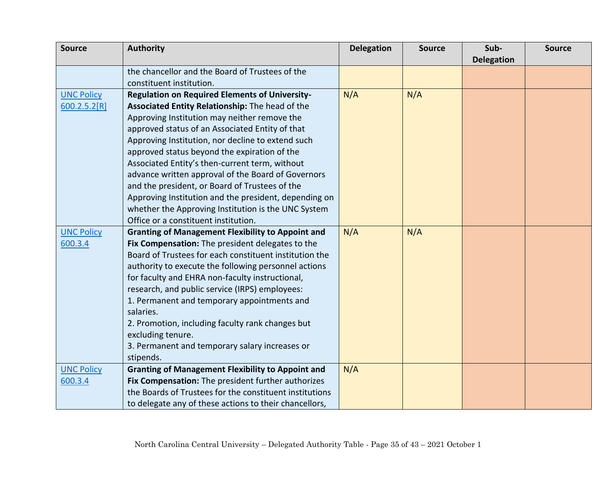| <b>Source</b>     | <b>Authority</b>                                         | <b>Delegation</b> | <b>Source</b> | Sub-              | <b>Source</b> |
|-------------------|----------------------------------------------------------|-------------------|---------------|-------------------|---------------|
|                   |                                                          |                   |               | <b>Delegation</b> |               |
|                   | the chancellor and the Board of Trustees of the          |                   |               |                   |               |
|                   | constituent institution.                                 |                   |               |                   |               |
| <b>UNC Policy</b> | <b>Regulation on Required Elements of University-</b>    | N/A               | N/A           |                   |               |
| 600.2.5.2[R]      | Associated Entity Relationship: The head of the          |                   |               |                   |               |
|                   | Approving Institution may neither remove the             |                   |               |                   |               |
|                   | approved status of an Associated Entity of that          |                   |               |                   |               |
|                   | Approving Institution, nor decline to extend such        |                   |               |                   |               |
|                   | approved status beyond the expiration of the             |                   |               |                   |               |
|                   | Associated Entity's then-current term, without           |                   |               |                   |               |
|                   | advance written approval of the Board of Governors       |                   |               |                   |               |
|                   | and the president, or Board of Trustees of the           |                   |               |                   |               |
|                   | Approving Institution and the president, depending on    |                   |               |                   |               |
|                   | whether the Approving Institution is the UNC System      |                   |               |                   |               |
|                   | Office or a constituent institution.                     |                   |               |                   |               |
| <b>UNC Policy</b> | <b>Granting of Management Flexibility to Appoint and</b> | N/A               | N/A           |                   |               |
| 600.3.4           | Fix Compensation: The president delegates to the         |                   |               |                   |               |
|                   | Board of Trustees for each constituent institution the   |                   |               |                   |               |
|                   | authority to execute the following personnel actions     |                   |               |                   |               |
|                   | for faculty and EHRA non-faculty instructional,          |                   |               |                   |               |
|                   | research, and public service (IRPS) employees:           |                   |               |                   |               |
|                   | 1. Permanent and temporary appointments and              |                   |               |                   |               |
|                   | salaries.                                                |                   |               |                   |               |
|                   | 2. Promotion, including faculty rank changes but         |                   |               |                   |               |
|                   | excluding tenure.                                        |                   |               |                   |               |
|                   | 3. Permanent and temporary salary increases or           |                   |               |                   |               |
|                   | stipends.                                                |                   |               |                   |               |
| <b>UNC Policy</b> | <b>Granting of Management Flexibility to Appoint and</b> | N/A               |               |                   |               |
| 600.3.4           | Fix Compensation: The president further authorizes       |                   |               |                   |               |
|                   | the Boards of Trustees for the constituent institutions  |                   |               |                   |               |
|                   | to delegate any of these actions to their chancellors,   |                   |               |                   |               |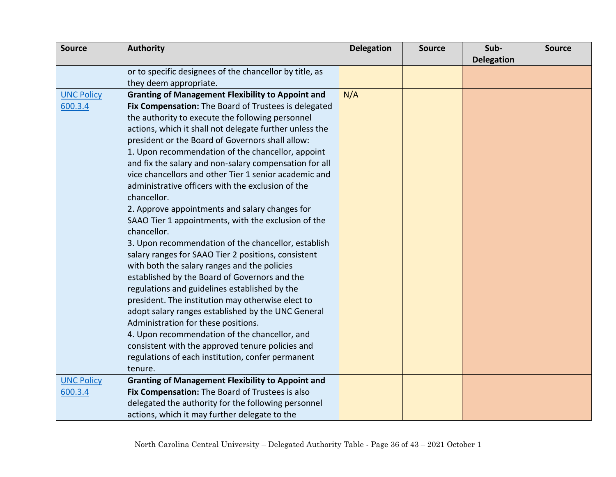| <b>Source</b>     | <b>Authority</b>                                         | <b>Delegation</b> | <b>Source</b> | Sub-              | <b>Source</b> |
|-------------------|----------------------------------------------------------|-------------------|---------------|-------------------|---------------|
|                   |                                                          |                   |               | <b>Delegation</b> |               |
|                   | or to specific designees of the chancellor by title, as  |                   |               |                   |               |
|                   | they deem appropriate.                                   |                   |               |                   |               |
| <b>UNC Policy</b> | <b>Granting of Management Flexibility to Appoint and</b> | N/A               |               |                   |               |
| 600.3.4           | Fix Compensation: The Board of Trustees is delegated     |                   |               |                   |               |
|                   | the authority to execute the following personnel         |                   |               |                   |               |
|                   | actions, which it shall not delegate further unless the  |                   |               |                   |               |
|                   | president or the Board of Governors shall allow:         |                   |               |                   |               |
|                   | 1. Upon recommendation of the chancellor, appoint        |                   |               |                   |               |
|                   | and fix the salary and non-salary compensation for all   |                   |               |                   |               |
|                   | vice chancellors and other Tier 1 senior academic and    |                   |               |                   |               |
|                   | administrative officers with the exclusion of the        |                   |               |                   |               |
|                   | chancellor.                                              |                   |               |                   |               |
|                   | 2. Approve appointments and salary changes for           |                   |               |                   |               |
|                   | SAAO Tier 1 appointments, with the exclusion of the      |                   |               |                   |               |
|                   | chancellor.                                              |                   |               |                   |               |
|                   | 3. Upon recommendation of the chancellor, establish      |                   |               |                   |               |
|                   | salary ranges for SAAO Tier 2 positions, consistent      |                   |               |                   |               |
|                   | with both the salary ranges and the policies             |                   |               |                   |               |
|                   | established by the Board of Governors and the            |                   |               |                   |               |
|                   | regulations and guidelines established by the            |                   |               |                   |               |
|                   | president. The institution may otherwise elect to        |                   |               |                   |               |
|                   | adopt salary ranges established by the UNC General       |                   |               |                   |               |
|                   | Administration for these positions.                      |                   |               |                   |               |
|                   | 4. Upon recommendation of the chancellor, and            |                   |               |                   |               |
|                   | consistent with the approved tenure policies and         |                   |               |                   |               |
|                   | regulations of each institution, confer permanent        |                   |               |                   |               |
|                   | tenure.                                                  |                   |               |                   |               |
| <b>UNC Policy</b> | <b>Granting of Management Flexibility to Appoint and</b> |                   |               |                   |               |
| 600.3.4           | Fix Compensation: The Board of Trustees is also          |                   |               |                   |               |
|                   | delegated the authority for the following personnel      |                   |               |                   |               |
|                   | actions, which it may further delegate to the            |                   |               |                   |               |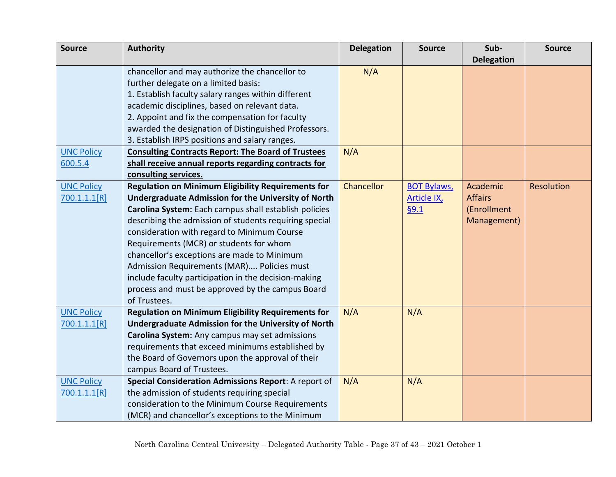| <b>Source</b>     | <b>Authority</b>                                           | <b>Delegation</b> | <b>Source</b>      | Sub-              | <b>Source</b> |
|-------------------|------------------------------------------------------------|-------------------|--------------------|-------------------|---------------|
|                   |                                                            |                   |                    | <b>Delegation</b> |               |
|                   | chancellor and may authorize the chancellor to             | N/A               |                    |                   |               |
|                   | further delegate on a limited basis:                       |                   |                    |                   |               |
|                   | 1. Establish faculty salary ranges within different        |                   |                    |                   |               |
|                   | academic disciplines, based on relevant data.              |                   |                    |                   |               |
|                   | 2. Appoint and fix the compensation for faculty            |                   |                    |                   |               |
|                   | awarded the designation of Distinguished Professors.       |                   |                    |                   |               |
|                   | 3. Establish IRPS positions and salary ranges.             |                   |                    |                   |               |
| <b>UNC Policy</b> | <b>Consulting Contracts Report: The Board of Trustees</b>  | N/A               |                    |                   |               |
| 600.5.4           | shall receive annual reports regarding contracts for       |                   |                    |                   |               |
|                   | consulting services.                                       |                   |                    |                   |               |
| <b>UNC Policy</b> | <b>Regulation on Minimum Eligibility Requirements for</b>  | Chancellor        | <b>BOT Bylaws,</b> | Academic          | Resolution    |
| 700.1.1.1[R]      | <b>Undergraduate Admission for the University of North</b> |                   | <b>Article IX</b>  | <b>Affairs</b>    |               |
|                   | Carolina System: Each campus shall establish policies      |                   | §9.1               | (Enrollment       |               |
|                   | describing the admission of students requiring special     |                   |                    | Management)       |               |
|                   | consideration with regard to Minimum Course                |                   |                    |                   |               |
|                   | Requirements (MCR) or students for whom                    |                   |                    |                   |               |
|                   | chancellor's exceptions are made to Minimum                |                   |                    |                   |               |
|                   | Admission Requirements (MAR) Policies must                 |                   |                    |                   |               |
|                   | include faculty participation in the decision-making       |                   |                    |                   |               |
|                   | process and must be approved by the campus Board           |                   |                    |                   |               |
|                   | of Trustees.                                               |                   |                    |                   |               |
| <b>UNC Policy</b> | <b>Regulation on Minimum Eligibility Requirements for</b>  | N/A               | N/A                |                   |               |
| 700.1.1.1[R]      | <b>Undergraduate Admission for the University of North</b> |                   |                    |                   |               |
|                   | Carolina System: Any campus may set admissions             |                   |                    |                   |               |
|                   | requirements that exceed minimums established by           |                   |                    |                   |               |
|                   | the Board of Governors upon the approval of their          |                   |                    |                   |               |
|                   | campus Board of Trustees.                                  |                   |                    |                   |               |
| <b>UNC Policy</b> | Special Consideration Admissions Report: A report of       | N/A               | N/A                |                   |               |
| 700.1.1.1[R]      | the admission of students requiring special                |                   |                    |                   |               |
|                   | consideration to the Minimum Course Requirements           |                   |                    |                   |               |
|                   | (MCR) and chancellor's exceptions to the Minimum           |                   |                    |                   |               |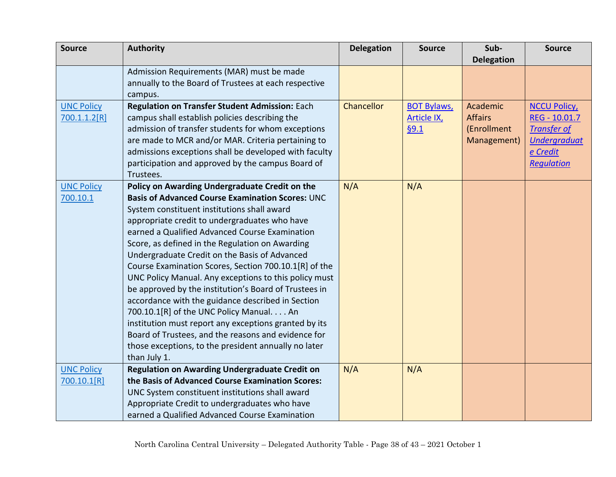| <b>Source</b>     | <b>Authority</b>                                        | <b>Delegation</b> | <b>Source</b>      | Sub-              | <b>Source</b>       |
|-------------------|---------------------------------------------------------|-------------------|--------------------|-------------------|---------------------|
|                   |                                                         |                   |                    | <b>Delegation</b> |                     |
|                   | Admission Requirements (MAR) must be made               |                   |                    |                   |                     |
|                   | annually to the Board of Trustees at each respective    |                   |                    |                   |                     |
|                   | campus.                                                 |                   |                    |                   |                     |
| <b>UNC Policy</b> | Regulation on Transfer Student Admission: Each          | <b>Chancellor</b> | <b>BOT Bylaws,</b> | Academic          | <b>NCCU Policy</b>  |
| 700.1.1.2[R]      | campus shall establish policies describing the          |                   | <b>Article IX</b>  | <b>Affairs</b>    | REG - 10.01.7       |
|                   | admission of transfer students for whom exceptions      |                   | §9.1               | (Enrollment       | <b>Transfer of</b>  |
|                   | are made to MCR and/or MAR. Criteria pertaining to      |                   |                    | Management)       | <b>Undergraduat</b> |
|                   | admissions exceptions shall be developed with faculty   |                   |                    |                   | e Credit            |
|                   | participation and approved by the campus Board of       |                   |                    |                   | Regulation          |
|                   | Trustees.                                               |                   |                    |                   |                     |
| <b>UNC Policy</b> | Policy on Awarding Undergraduate Credit on the          | N/A               | N/A                |                   |                     |
| 700.10.1          | <b>Basis of Advanced Course Examination Scores: UNC</b> |                   |                    |                   |                     |
|                   | System constituent institutions shall award             |                   |                    |                   |                     |
|                   | appropriate credit to undergraduates who have           |                   |                    |                   |                     |
|                   | earned a Qualified Advanced Course Examination          |                   |                    |                   |                     |
|                   | Score, as defined in the Regulation on Awarding         |                   |                    |                   |                     |
|                   | Undergraduate Credit on the Basis of Advanced           |                   |                    |                   |                     |
|                   | Course Examination Scores, Section 700.10.1[R] of the   |                   |                    |                   |                     |
|                   | UNC Policy Manual. Any exceptions to this policy must   |                   |                    |                   |                     |
|                   | be approved by the institution's Board of Trustees in   |                   |                    |                   |                     |
|                   | accordance with the guidance described in Section       |                   |                    |                   |                     |
|                   | 700.10.1[R] of the UNC Policy Manual. An                |                   |                    |                   |                     |
|                   | institution must report any exceptions granted by its   |                   |                    |                   |                     |
|                   | Board of Trustees, and the reasons and evidence for     |                   |                    |                   |                     |
|                   | those exceptions, to the president annually no later    |                   |                    |                   |                     |
|                   | than July 1.                                            |                   |                    |                   |                     |
| <b>UNC Policy</b> | <b>Regulation on Awarding Undergraduate Credit on</b>   | N/A               | N/A                |                   |                     |
| 700.10.1[R]       | the Basis of Advanced Course Examination Scores:        |                   |                    |                   |                     |
|                   | UNC System constituent institutions shall award         |                   |                    |                   |                     |
|                   | Appropriate Credit to undergraduates who have           |                   |                    |                   |                     |
|                   | earned a Qualified Advanced Course Examination          |                   |                    |                   |                     |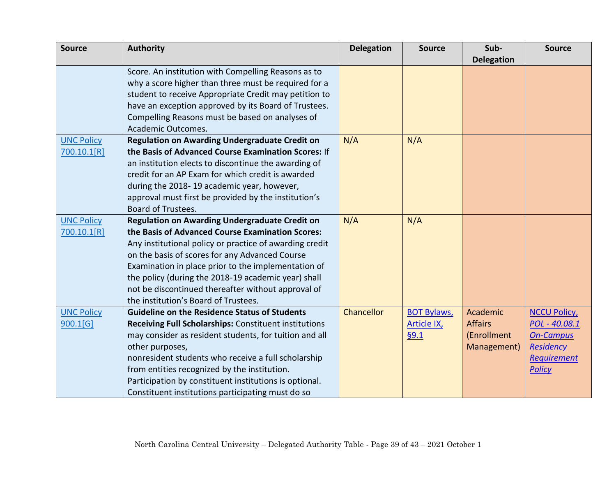| <b>Source</b>           | <b>Authority</b>                                        | <b>Delegation</b> | <b>Source</b>      | Sub-              | <b>Source</b>      |
|-------------------------|---------------------------------------------------------|-------------------|--------------------|-------------------|--------------------|
|                         |                                                         |                   |                    | <b>Delegation</b> |                    |
|                         | Score. An institution with Compelling Reasons as to     |                   |                    |                   |                    |
|                         | why a score higher than three must be required for a    |                   |                    |                   |                    |
|                         | student to receive Appropriate Credit may petition to   |                   |                    |                   |                    |
|                         | have an exception approved by its Board of Trustees.    |                   |                    |                   |                    |
|                         | Compelling Reasons must be based on analyses of         |                   |                    |                   |                    |
|                         | Academic Outcomes.                                      |                   |                    |                   |                    |
| <b>UNC Policy</b>       | <b>Regulation on Awarding Undergraduate Credit on</b>   | N/A               | N/A                |                   |                    |
| 700.10.1[R]             | the Basis of Advanced Course Examination Scores: If     |                   |                    |                   |                    |
|                         | an institution elects to discontinue the awarding of    |                   |                    |                   |                    |
|                         | credit for an AP Exam for which credit is awarded       |                   |                    |                   |                    |
|                         | during the 2018-19 academic year, however,              |                   |                    |                   |                    |
|                         | approval must first be provided by the institution's    |                   |                    |                   |                    |
|                         | <b>Board of Trustees.</b>                               |                   |                    |                   |                    |
| <b>UNC Policy</b>       | <b>Regulation on Awarding Undergraduate Credit on</b>   | N/A               | N/A                |                   |                    |
| 700.10.1 <sup>[R]</sup> | the Basis of Advanced Course Examination Scores:        |                   |                    |                   |                    |
|                         | Any institutional policy or practice of awarding credit |                   |                    |                   |                    |
|                         | on the basis of scores for any Advanced Course          |                   |                    |                   |                    |
|                         | Examination in place prior to the implementation of     |                   |                    |                   |                    |
|                         | the policy (during the 2018-19 academic year) shall     |                   |                    |                   |                    |
|                         | not be discontinued thereafter without approval of      |                   |                    |                   |                    |
|                         | the institution's Board of Trustees.                    |                   |                    |                   |                    |
| <b>UNC Policy</b>       | <b>Guideline on the Residence Status of Students</b>    | <b>Chancellor</b> | <b>BOT Bylaws,</b> | Academic          | <b>NCCU Policy</b> |
| 900.1[G]                | Receiving Full Scholarships: Constituent institutions   |                   | <b>Article IX</b>  | <b>Affairs</b>    | POL - 40.08.1      |
|                         | may consider as resident students, for tuition and all  |                   | §9.1               | (Enrollment       | <b>On-Campus</b>   |
|                         | other purposes,                                         |                   |                    | Management)       | <b>Residency</b>   |
|                         | nonresident students who receive a full scholarship     |                   |                    |                   | <b>Requirement</b> |
|                         | from entities recognized by the institution.            |                   |                    |                   | <b>Policy</b>      |
|                         | Participation by constituent institutions is optional.  |                   |                    |                   |                    |
|                         | Constituent institutions participating must do so       |                   |                    |                   |                    |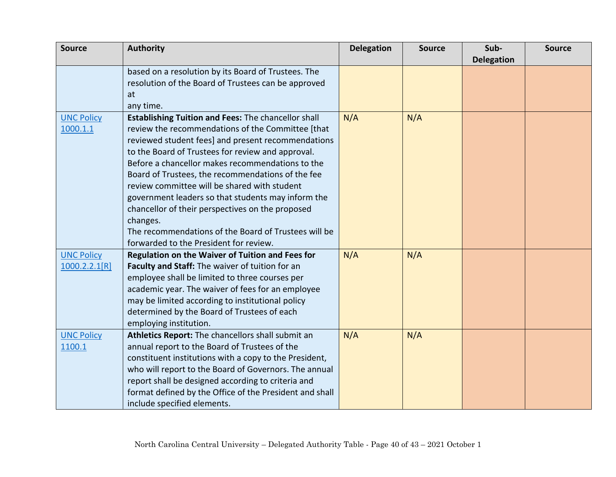| <b>Source</b>     | <b>Authority</b>                                        | <b>Delegation</b> | <b>Source</b> | Sub-              | <b>Source</b> |
|-------------------|---------------------------------------------------------|-------------------|---------------|-------------------|---------------|
|                   |                                                         |                   |               | <b>Delegation</b> |               |
|                   | based on a resolution by its Board of Trustees. The     |                   |               |                   |               |
|                   | resolution of the Board of Trustees can be approved     |                   |               |                   |               |
|                   | at                                                      |                   |               |                   |               |
|                   | any time.                                               |                   |               |                   |               |
| <b>UNC Policy</b> | Establishing Tuition and Fees: The chancellor shall     | N/A               | N/A           |                   |               |
| 1000.1.1          | review the recommendations of the Committee [that       |                   |               |                   |               |
|                   | reviewed student fees] and present recommendations      |                   |               |                   |               |
|                   | to the Board of Trustees for review and approval.       |                   |               |                   |               |
|                   | Before a chancellor makes recommendations to the        |                   |               |                   |               |
|                   | Board of Trustees, the recommendations of the fee       |                   |               |                   |               |
|                   | review committee will be shared with student            |                   |               |                   |               |
|                   | government leaders so that students may inform the      |                   |               |                   |               |
|                   | chancellor of their perspectives on the proposed        |                   |               |                   |               |
|                   | changes.                                                |                   |               |                   |               |
|                   | The recommendations of the Board of Trustees will be    |                   |               |                   |               |
|                   | forwarded to the President for review.                  |                   |               |                   |               |
| <b>UNC Policy</b> | Regulation on the Waiver of Tuition and Fees for        | N/A               | N/A           |                   |               |
| 1000.2.2.1[R]     | Faculty and Staff: The waiver of tuition for an         |                   |               |                   |               |
|                   | employee shall be limited to three courses per          |                   |               |                   |               |
|                   | academic year. The waiver of fees for an employee       |                   |               |                   |               |
|                   | may be limited according to institutional policy        |                   |               |                   |               |
|                   | determined by the Board of Trustees of each             |                   |               |                   |               |
|                   | employing institution.                                  |                   |               |                   |               |
| <b>UNC Policy</b> | Athletics Report: The chancellors shall submit an       | N/A               | N/A           |                   |               |
| 1100.1            | annual report to the Board of Trustees of the           |                   |               |                   |               |
|                   | constituent institutions with a copy to the President,  |                   |               |                   |               |
|                   | who will report to the Board of Governors. The annual   |                   |               |                   |               |
|                   | report shall be designed according to criteria and      |                   |               |                   |               |
|                   | format defined by the Office of the President and shall |                   |               |                   |               |
|                   | include specified elements.                             |                   |               |                   |               |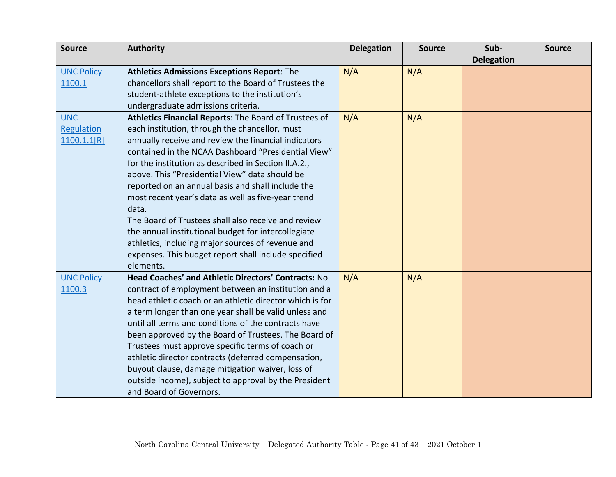| <b>Source</b>     | <b>Authority</b>                                         | <b>Delegation</b> | <b>Source</b> | Sub-              | <b>Source</b> |
|-------------------|----------------------------------------------------------|-------------------|---------------|-------------------|---------------|
|                   |                                                          |                   |               | <b>Delegation</b> |               |
| <b>UNC Policy</b> | <b>Athletics Admissions Exceptions Report: The</b>       | N/A               | N/A           |                   |               |
| 1100.1            | chancellors shall report to the Board of Trustees the    |                   |               |                   |               |
|                   | student-athlete exceptions to the institution's          |                   |               |                   |               |
|                   | undergraduate admissions criteria.                       |                   |               |                   |               |
| <b>UNC</b>        | Athletics Financial Reports: The Board of Trustees of    | N/A               | N/A           |                   |               |
| Regulation        | each institution, through the chancellor, must           |                   |               |                   |               |
| 1100.1.1[R]       | annually receive and review the financial indicators     |                   |               |                   |               |
|                   | contained in the NCAA Dashboard "Presidential View"      |                   |               |                   |               |
|                   | for the institution as described in Section II.A.2.,     |                   |               |                   |               |
|                   | above. This "Presidential View" data should be           |                   |               |                   |               |
|                   | reported on an annual basis and shall include the        |                   |               |                   |               |
|                   | most recent year's data as well as five-year trend       |                   |               |                   |               |
|                   | data.                                                    |                   |               |                   |               |
|                   | The Board of Trustees shall also receive and review      |                   |               |                   |               |
|                   | the annual institutional budget for intercollegiate      |                   |               |                   |               |
|                   | athletics, including major sources of revenue and        |                   |               |                   |               |
|                   | expenses. This budget report shall include specified     |                   |               |                   |               |
|                   | elements.                                                |                   |               |                   |               |
| <b>UNC Policy</b> | Head Coaches' and Athletic Directors' Contracts: No      | N/A               | N/A           |                   |               |
| 1100.3            | contract of employment between an institution and a      |                   |               |                   |               |
|                   | head athletic coach or an athletic director which is for |                   |               |                   |               |
|                   | a term longer than one year shall be valid unless and    |                   |               |                   |               |
|                   | until all terms and conditions of the contracts have     |                   |               |                   |               |
|                   | been approved by the Board of Trustees. The Board of     |                   |               |                   |               |
|                   | Trustees must approve specific terms of coach or         |                   |               |                   |               |
|                   | athletic director contracts (deferred compensation,      |                   |               |                   |               |
|                   | buyout clause, damage mitigation waiver, loss of         |                   |               |                   |               |
|                   | outside income), subject to approval by the President    |                   |               |                   |               |
|                   | and Board of Governors.                                  |                   |               |                   |               |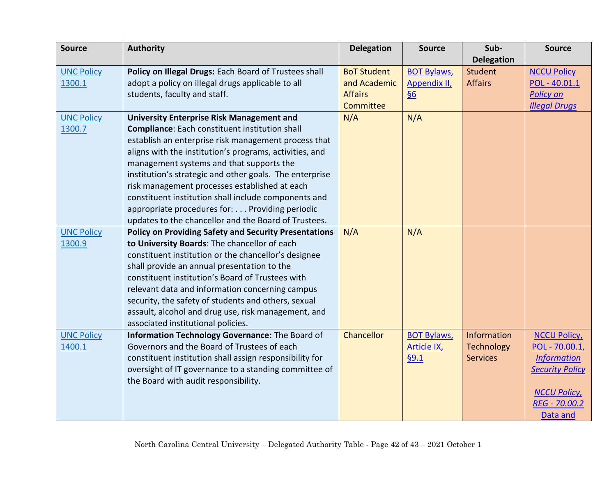| <b>Source</b>     | <b>Authority</b>                                             | <b>Delegation</b>  | <b>Source</b>      | Sub-              | <b>Source</b>          |
|-------------------|--------------------------------------------------------------|--------------------|--------------------|-------------------|------------------------|
|                   |                                                              |                    |                    | <b>Delegation</b> |                        |
| <b>UNC Policy</b> | Policy on Illegal Drugs: Each Board of Trustees shall        | <b>BoT Student</b> | <b>BOT Bylaws,</b> | <b>Student</b>    | <b>NCCU Policy</b>     |
| 1300.1            | adopt a policy on illegal drugs applicable to all            | and Academic       | Appendix II,       | <b>Affairs</b>    | POL - 40.01.1          |
|                   | students, faculty and staff.                                 | <b>Affairs</b>     | $\underline{\S6}$  |                   | <b>Policy on</b>       |
|                   |                                                              | <b>Committee</b>   |                    |                   | <b>Illegal Drugs</b>   |
| <b>UNC Policy</b> | <b>University Enterprise Risk Management and</b>             | N/A                | N/A                |                   |                        |
| 1300.7            | <b>Compliance:</b> Each constituent institution shall        |                    |                    |                   |                        |
|                   | establish an enterprise risk management process that         |                    |                    |                   |                        |
|                   | aligns with the institution's programs, activities, and      |                    |                    |                   |                        |
|                   | management systems and that supports the                     |                    |                    |                   |                        |
|                   | institution's strategic and other goals. The enterprise      |                    |                    |                   |                        |
|                   | risk management processes established at each                |                    |                    |                   |                        |
|                   | constituent institution shall include components and         |                    |                    |                   |                        |
|                   | appropriate procedures for: Providing periodic               |                    |                    |                   |                        |
|                   | updates to the chancellor and the Board of Trustees.         |                    |                    |                   |                        |
| <b>UNC Policy</b> | <b>Policy on Providing Safety and Security Presentations</b> | N/A                | N/A                |                   |                        |
| 1300.9            | to University Boards: The chancellor of each                 |                    |                    |                   |                        |
|                   | constituent institution or the chancellor's designee         |                    |                    |                   |                        |
|                   | shall provide an annual presentation to the                  |                    |                    |                   |                        |
|                   | constituent institution's Board of Trustees with             |                    |                    |                   |                        |
|                   | relevant data and information concerning campus              |                    |                    |                   |                        |
|                   | security, the safety of students and others, sexual          |                    |                    |                   |                        |
|                   | assault, alcohol and drug use, risk management, and          |                    |                    |                   |                        |
|                   | associated institutional policies.                           |                    |                    |                   |                        |
| <b>UNC Policy</b> | Information Technology Governance: The Board of              | Chancellor         | <b>BOT Bylaws,</b> | Information       | <b>NCCU Policy</b>     |
| 1400.1            | Governors and the Board of Trustees of each                  |                    | <b>Article IX</b>  | <b>Technology</b> | POL - 70.00.1,         |
|                   | constituent institution shall assign responsibility for      |                    | §9.1               | <b>Services</b>   | <b>Information</b>     |
|                   | oversight of IT governance to a standing committee of        |                    |                    |                   | <b>Security Policy</b> |
|                   | the Board with audit responsibility.                         |                    |                    |                   |                        |
|                   |                                                              |                    |                    |                   | <b>NCCU Policy</b>     |
|                   |                                                              |                    |                    |                   | REG - 70.00.2          |
|                   |                                                              |                    |                    |                   | Data and               |